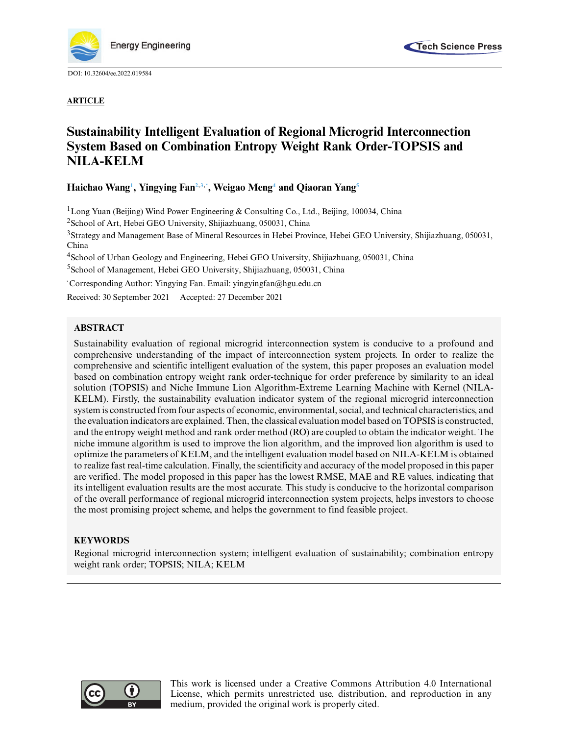

DOI: [10.32604/ee.2022.019584](http://dx.doi.org/10.32604/ee.2022.019584)



## **ARTICLE**

# **Sustainability Intelligent Evaluation of Regional Microgrid Interconnection System Based on Combination Entropy Weight Rank Order-TOPSIS and NILA-KELM**

## **Haichao Wan[g1](#page-0-0) , Yingying Fa[n2,3,](#page-0-1)[\\*](#page-0-2) , Weigao Men[g4](#page-0-3) and Qiaoran Yan[g5](#page-0-4)**

<sup>1</sup> Long Yuan (Beijing) Wind Power Engineering  $\&$  Consulting Co., Ltd., Beijing, 100034, China

<span id="page-0-0"></span>2School of Art, Hebei GEO University, Shijiazhuang, 050031, China

<span id="page-0-3"></span><span id="page-0-1"></span>3Strategy and Management Base of Mineral Resources in Hebei Province, Hebei GEO University, Shijiazhuang, 050031, China

4School of Urban Geology and Engineering, Hebei GEO University, Shijiazhuang, 050031, China

<span id="page-0-4"></span>5School of Management, Hebei GEO University, Shijiazhuang, 050031, China

\*Corresponding Author: Yingying Fan. Email: [yingyingfan@hgu.edu.cn](mailto:yingyingfan@hgu.edu.cn)

<span id="page-0-2"></span>Received: 30 September 2021 Accepted: 27 December 2021

## **ABSTRACT**

Sustainability evaluation of regional microgrid interconnection system is conducive to a profound and comprehensive understanding of the impact of interconnection system projects. In order to realize the comprehensive and scientific intelligent evaluation of the system, this paper proposes an evaluation model based on combination entropy weight rank order-technique for order preference by similarity to an ideal solution (TOPSIS) and Niche Immune Lion Algorithm-Extreme Learning Machine with Kernel (NILA-KELM). Firstly, the sustainability evaluation indicator system of the regional microgrid interconnection system is constructed from four aspects of economic, environmental, social, and technical characteristics, and the evaluation indicators are explained. Then, the classical evaluation model based on TOPSIS is constructed, and the entropy weight method and rank order method (RO) are coupled to obtain the indicator weight. The niche immune algorithm is used to improve the lion algorithm, and the improved lion algorithm is used to optimize the parameters of KELM, and the intelligent evaluation model based on NILA-KELM is obtained to realize fast real-time calculation. Finally, the scientificity and accuracy of the model proposed in this paper are verified. The model proposed in this paper has the lowest RMSE, MAE and RE values, indicating that its intelligent evaluation results are the most accurate. This study is conducive to the horizontal comparison of the overall performance of regional microgrid interconnection system projects, helps investors to choose the most promising project scheme, and helps the government to find feasible project.

## **KEYWORDS**

Regional microgrid interconnection system; intelligent evaluation of sustainability; combination entropy weight rank order; TOPSIS; NILA; KELM



This work is licensed under a Creative Commons Attribution 4.0 International License, which permits unrestricted use, distribution, and reproduction in any medium, provided the original work is properly cited.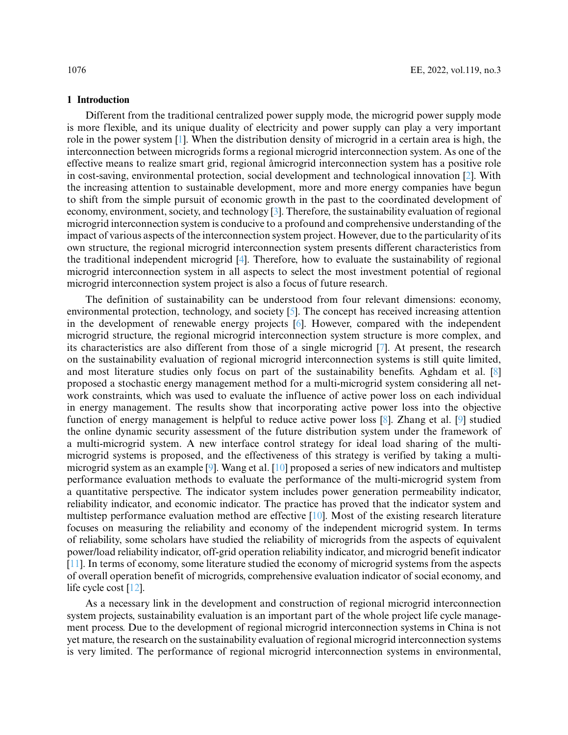## **1 Introduction**

Different from the traditional centralized power supply mode, the microgrid power supply mode is more flexible, and its unique duality of electricity and power supply can play a very important role in the power system [\[1\]](#page-24-0). When the distribution density of microgrid in a certain area is high, the interconnection between microgrids forms a regional microgrid interconnection system. As one of the effective means to realize smart grid, regional åmicrogrid interconnection system has a positive role in cost-saving, environmental protection, social development and technological innovation [\[2\]](#page-24-1). With the increasing attention to sustainable development, more and more energy companies have begun to shift from the simple pursuit of economic growth in the past to the coordinated development of economy, environment, society, and technology [\[3\]](#page-24-2). Therefore, the sustainability evaluation of regional microgrid interconnection system is conducive to a profound and comprehensive understanding of the impact of various aspects of the interconnection system project. However, due to the particularity of its own structure, the regional microgrid interconnection system presents different characteristics from the traditional independent microgrid [\[4\]](#page-24-3). Therefore, how to evaluate the sustainability of regional microgrid interconnection system in all aspects to select the most investment potential of regional microgrid interconnection system project is also a focus of future research.

The definition of sustainability can be understood from four relevant dimensions: economy, environmental protection, technology, and society [\[5\]](#page-24-4). The concept has received increasing attention in the development of renewable energy projects [\[6\]](#page-24-5). However, compared with the independent microgrid structure, the regional microgrid interconnection system structure is more complex, and its characteristics are also different from those of a single microgrid [\[7\]](#page-24-6). At present, the research on the sustainability evaluation of regional microgrid interconnection systems is still quite limited, and most literature studies only focus on part of the sustainability benefits. Aghdam et al. [\[8\]](#page-24-7) proposed a stochastic energy management method for a multi-microgrid system considering all network constraints, which was used to evaluate the influence of active power loss on each individual in energy management. The results show that incorporating active power loss into the objective function of energy management is helpful to reduce active power loss [\[8\]](#page-24-7). Zhang et al. [\[9\]](#page-24-8) studied the online dynamic security assessment of the future distribution system under the framework of a multi-microgrid system. A new interface control strategy for ideal load sharing of the multimicrogrid systems is proposed, and the effectiveness of this strategy is verified by taking a multimicrogrid system as an example [\[9\]](#page-24-8). Wang et al. [\[10\]](#page-24-9) proposed a series of new indicators and multistep performance evaluation methods to evaluate the performance of the multi-microgrid system from a quantitative perspective. The indicator system includes power generation permeability indicator, reliability indicator, and economic indicator. The practice has proved that the indicator system and multistep performance evaluation method are effective [\[10\]](#page-24-9). Most of the existing research literature focuses on measuring the reliability and economy of the independent microgrid system. In terms of reliability, some scholars have studied the reliability of microgrids from the aspects of equivalent power/load reliability indicator, off-grid operation reliability indicator, and microgrid benefit indicator [\[11\]](#page-24-10). In terms of economy, some literature studied the economy of microgrid systems from the aspects of overall operation benefit of microgrids, comprehensive evaluation indicator of social economy, and life cycle cost [\[12\]](#page-24-11).

As a necessary link in the development and construction of regional microgrid interconnection system projects, sustainability evaluation is an important part of the whole project life cycle management process. Due to the development of regional microgrid interconnection systems in China is not yet mature, the research on the sustainability evaluation of regional microgrid interconnection systems is very limited. The performance of regional microgrid interconnection systems in environmental,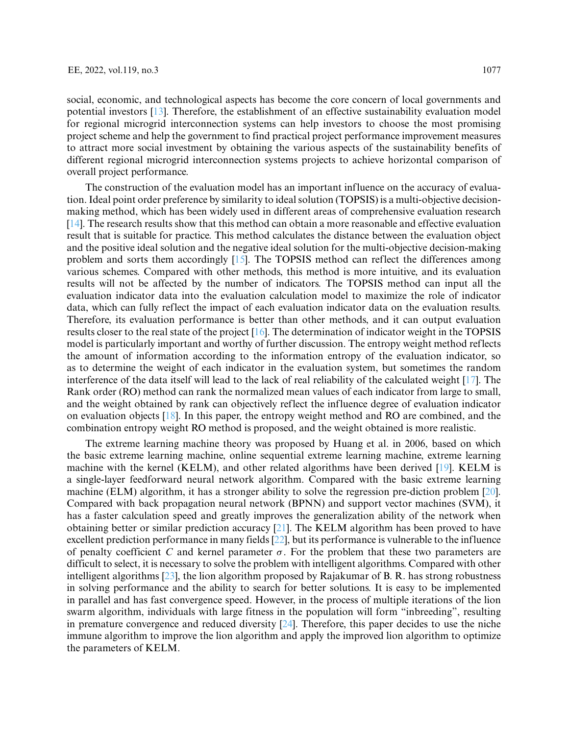social, economic, and technological aspects has become the core concern of local governments and potential investors [\[13\]](#page-24-12). Therefore, the establishment of an effective sustainability evaluation model for regional microgrid interconnection systems can help investors to choose the most promising project scheme and help the government to find practical project performance improvement measures to attract more social investment by obtaining the various aspects of the sustainability benefits of different regional microgrid interconnection systems projects to achieve horizontal comparison of overall project performance.

The construction of the evaluation model has an important influence on the accuracy of evaluation. Ideal point order preference by similarity to ideal solution (TOPSIS) is a multi-objective decisionmaking method, which has been widely used in different areas of comprehensive evaluation research [\[14\]](#page-25-0). The research results show that this method can obtain a more reasonable and effective evaluation result that is suitable for practice. This method calculates the distance between the evaluation object and the positive ideal solution and the negative ideal solution for the multi-objective decision-making problem and sorts them accordingly [\[15\]](#page-25-1). The TOPSIS method can reflect the differences among various schemes. Compared with other methods, this method is more intuitive, and its evaluation results will not be affected by the number of indicators. The TOPSIS method can input all the evaluation indicator data into the evaluation calculation model to maximize the role of indicator data, which can fully reflect the impact of each evaluation indicator data on the evaluation results. Therefore, its evaluation performance is better than other methods, and it can output evaluation results closer to the real state of the project [\[16\]](#page-25-2). The determination of indicator weight in the TOPSIS model is particularly important and worthy of further discussion. The entropy weight method reflects the amount of information according to the information entropy of the evaluation indicator, so as to determine the weight of each indicator in the evaluation system, but sometimes the random interference of the data itself will lead to the lack of real reliability of the calculated weight [\[17\]](#page-25-3). The Rank order (RO) method can rank the normalized mean values of each indicator from large to small, and the weight obtained by rank can objectively reflect the influence degree of evaluation indicator on evaluation objects [\[18\]](#page-25-4). In this paper, the entropy weight method and RO are combined, and the combination entropy weight RO method is proposed, and the weight obtained is more realistic.

The extreme learning machine theory was proposed by Huang et al. in 2006, based on which the basic extreme learning machine, online sequential extreme learning machine, extreme learning machine with the kernel (KELM), and other related algorithms have been derived [\[19\]](#page-25-5). KELM is a single-layer feedforward neural network algorithm. Compared with the basic extreme learning machine (ELM) algorithm, it has a stronger ability to solve the regression pre-diction problem [\[20\]](#page-25-6). Compared with back propagation neural network (BPNN) and support vector machines (SVM), it has a faster calculation speed and greatly improves the generalization ability of the network when obtaining better or similar prediction accuracy [\[21\]](#page-25-7). The KELM algorithm has been proved to have excellent prediction performance in many fields [\[22\]](#page-25-8), but its performance is vulnerable to the influence of penalty coefficient *C* and kernel parameter  $\sigma$ . For the problem that these two parameters are difficult to select, it is necessary to solve the problem with intelligent algorithms. Compared with other intelligent algorithms [\[23\]](#page-25-9), the lion algorithm proposed by Rajakumar of B. R. has strong robustness in solving performance and the ability to search for better solutions. It is easy to be implemented in parallel and has fast convergence speed. However, in the process of multiple iterations of the lion swarm algorithm, individuals with large fitness in the population will form "inbreeding", resulting in premature convergence and reduced diversity [\[24\]](#page-25-10). Therefore, this paper decides to use the niche immune algorithm to improve the lion algorithm and apply the improved lion algorithm to optimize the parameters of KELM.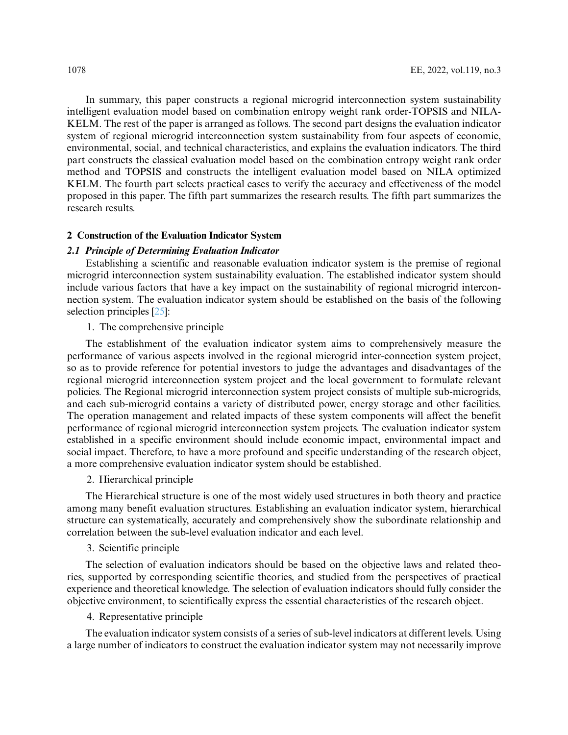In summary, this paper constructs a regional microgrid interconnection system sustainability intelligent evaluation model based on combination entropy weight rank order-TOPSIS and NILA-KELM. The rest of the paper is arranged as follows. The second part designs the evaluation indicator system of regional microgrid interconnection system sustainability from four aspects of economic, environmental, social, and technical characteristics, and explains the evaluation indicators. The third part constructs the classical evaluation model based on the combination entropy weight rank order method and TOPSIS and constructs the intelligent evaluation model based on NILA optimized KELM. The fourth part selects practical cases to verify the accuracy and effectiveness of the model proposed in this paper. The fifth part summarizes the research results. The fifth part summarizes the research results.

## **2 Construction of the Evaluation Indicator System**

### <span id="page-3-0"></span>*2.1 Principle of Determining Evaluation Indicator*

Establishing a scientific and reasonable evaluation indicator system is the premise of regional microgrid interconnection system sustainability evaluation. The established indicator system should include various factors that have a key impact on the sustainability of regional microgrid interconnection system. The evaluation indicator system should be established on the basis of the following selection principles [\[25\]](#page-25-11):

1. The comprehensive principle

The establishment of the evaluation indicator system aims to comprehensively measure the performance of various aspects involved in the regional microgrid inter-connection system project, so as to provide reference for potential investors to judge the advantages and disadvantages of the regional microgrid interconnection system project and the local government to formulate relevant policies. The Regional microgrid interconnection system project consists of multiple sub-microgrids, and each sub-microgrid contains a variety of distributed power, energy storage and other facilities. The operation management and related impacts of these system components will affect the benefit performance of regional microgrid interconnection system projects. The evaluation indicator system established in a specific environment should include economic impact, environmental impact and social impact. Therefore, to have a more profound and specific understanding of the research object, a more comprehensive evaluation indicator system should be established.

#### 2. Hierarchical principle

The Hierarchical structure is one of the most widely used structures in both theory and practice among many benefit evaluation structures. Establishing an evaluation indicator system, hierarchical structure can systematically, accurately and comprehensively show the subordinate relationship and correlation between the sub-level evaluation indicator and each level.

#### 3. Scientific principle

The selection of evaluation indicators should be based on the objective laws and related theories, supported by corresponding scientific theories, and studied from the perspectives of practical experience and theoretical knowledge. The selection of evaluation indicators should fully consider the objective environment, to scientifically express the essential characteristics of the research object.

## 4. Representative principle

The evaluation indicator system consists of a series of sub-level indicators at different levels. Using a large number of indicators to construct the evaluation indicator system may not necessarily improve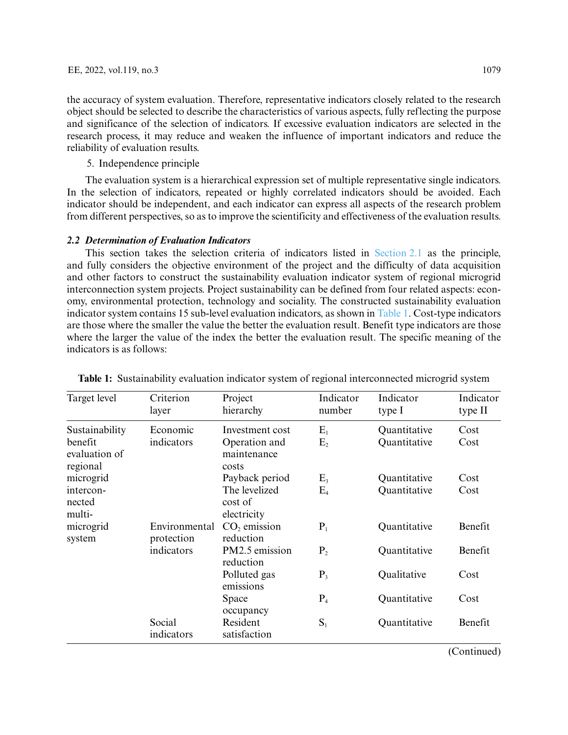the accuracy of system evaluation. Therefore, representative indicators closely related to the research object should be selected to describe the characteristics of various aspects, fully reflecting the purpose and significance of the selection of indicators. If excessive evaluation indicators are selected in the research process, it may reduce and weaken the influence of important indicators and reduce the reliability of evaluation results.

5. Independence principle

The evaluation system is a hierarchical expression set of multiple representative single indicators. In the selection of indicators, repeated or highly correlated indicators should be avoided. Each indicator should be independent, and each indicator can express all aspects of the research problem from different perspectives, so as to improve the scientificity and effectiveness of the evaluation results.

#### *2.2 Determination of Evaluation Indicators*

This section takes the selection criteria of indicators listed in [Section 2.1](#page-3-0) as the principle, and fully considers the objective environment of the project and the difficulty of data acquisition and other factors to construct the sustainability evaluation indicator system of regional microgrid interconnection system projects. Project sustainability can be defined from four related aspects: economy, environmental protection, technology and sociality. The constructed sustainability evaluation indicator system contains 15 sub-level evaluation indicators, as shown in [Table 1.](#page-4-0) Cost-type indicators are those where the smaller the value the better the evaluation result. Benefit type indicators are those where the larger the value of the index the better the evaluation result. The specific meaning of the indicators is as follows:

| Target level                                       | Criterion<br>layer          | Project<br>hierarchy                    | Indicator<br>number | Indicator<br>type I | Indicator<br>type II |
|----------------------------------------------------|-----------------------------|-----------------------------------------|---------------------|---------------------|----------------------|
| Sustainability                                     | Economic                    | Investment cost                         | $E_1$               | Quantitative        | Cost                 |
| indicators<br>benefit<br>evaluation of<br>regional |                             | Operation and<br>maintenance<br>costs   | E <sub>2</sub>      | Quantitative        | Cost                 |
| microgrid                                          |                             | Payback period                          | E <sub>3</sub>      | Quantitative        | Cost                 |
| intercon-<br>nected<br>multi-                      |                             | The levelized<br>cost of<br>electricity | $E_4$               | Quantitative        | Cost                 |
| microgrid<br>system                                | Environmental<br>protection | $CO2$ emission<br>reduction             | $P_1$               | Quantitative        | Benefit              |
|                                                    | indicators                  | PM2.5 emission<br>reduction             | P <sub>2</sub>      | Quantitative        | Benefit              |
|                                                    |                             | Polluted gas<br>emissions               | $P_3$               | Qualitative         | Cost                 |
|                                                    |                             | Space<br>occupancy                      | P <sub>4</sub>      | Quantitative        | Cost                 |
|                                                    | Social<br>indicators        | Resident<br>satisfaction                | $S_1$               | Quantitative        | Benefit              |

<span id="page-4-0"></span>**Table 1:** Sustainability evaluation indicator system of regional interconnected microgrid system

(Continued)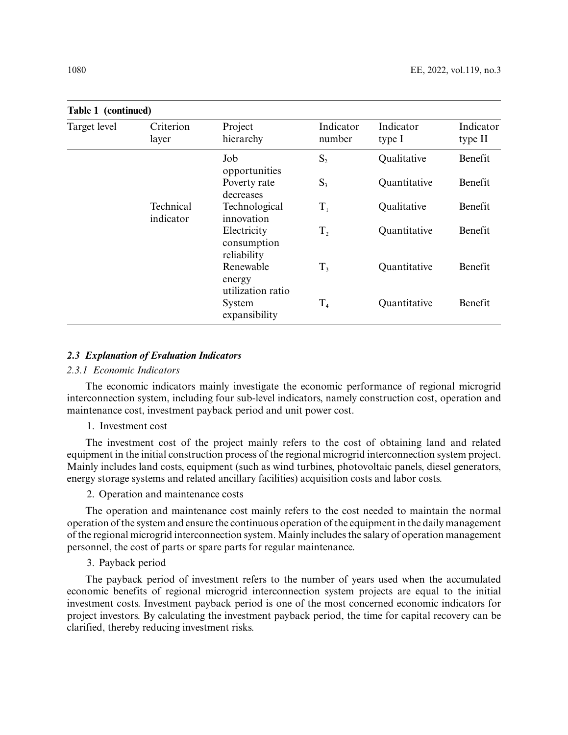|              | Table 1 (continued)    |                                           |                     |                     |                      |  |  |  |
|--------------|------------------------|-------------------------------------------|---------------------|---------------------|----------------------|--|--|--|
| Target level | Criterion<br>layer     | Project<br>hierarchy                      | Indicator<br>number | Indicator<br>type I | Indicator<br>type II |  |  |  |
|              |                        | Job<br>opportunities                      | S <sub>2</sub>      | Qualitative         | Benefit              |  |  |  |
|              |                        | Poverty rate<br>decreases                 | $S_3$               | Quantitative        | Benefit              |  |  |  |
|              | Technical<br>indicator | Technological<br>innovation               | $T_1$               | Qualitative         | Benefit              |  |  |  |
|              |                        | Electricity<br>consumption<br>reliability | T <sub>2</sub>      | Quantitative        | Benefit              |  |  |  |
|              |                        | Renewable<br>energy<br>utilization ratio  | $T_3$               | Quantitative        | Benefit              |  |  |  |
|              |                        | System<br>expansibility                   | $T_{4}$             | Quantitative        | Benefit              |  |  |  |

## *2.3 Explanation of Evaluation Indicators*

## *2.3.1 Economic Indicators*

The economic indicators mainly investigate the economic performance of regional microgrid interconnection system, including four sub-level indicators, namely construction cost, operation and maintenance cost, investment payback period and unit power cost.

## 1. Investment cost

The investment cost of the project mainly refers to the cost of obtaining land and related equipment in the initial construction process of the regional microgrid interconnection system project. Mainly includes land costs, equipment (such as wind turbines, photovoltaic panels, diesel generators, energy storage systems and related ancillary facilities) acquisition costs and labor costs.

2. Operation and maintenance costs

The operation and maintenance cost mainly refers to the cost needed to maintain the normal operation of the system and ensure the continuous operation of the equipment in the daily management of the regional microgrid interconnection system. Mainly includes the salary of operation management personnel, the cost of parts or spare parts for regular maintenance.

#### 3. Payback period

The payback period of investment refers to the number of years used when the accumulated economic benefits of regional microgrid interconnection system projects are equal to the initial investment costs. Investment payback period is one of the most concerned economic indicators for project investors. By calculating the investment payback period, the time for capital recovery can be clarified, thereby reducing investment risks.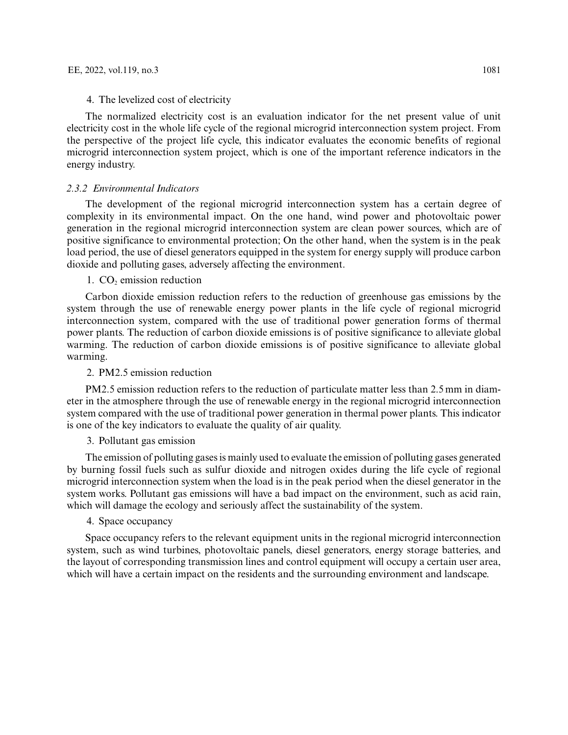#### 4. The levelized cost of electricity

The normalized electricity cost is an evaluation indicator for the net present value of unit electricity cost in the whole life cycle of the regional microgrid interconnection system project. From the perspective of the project life cycle, this indicator evaluates the economic benefits of regional microgrid interconnection system project, which is one of the important reference indicators in the energy industry.

#### *2.3.2 Environmental Indicators*

The development of the regional microgrid interconnection system has a certain degree of complexity in its environmental impact. On the one hand, wind power and photovoltaic power generation in the regional microgrid interconnection system are clean power sources, which are of positive significance to environmental protection; On the other hand, when the system is in the peak load period, the use of diesel generators equipped in the system for energy supply will produce carbon dioxide and polluting gases, adversely affecting the environment.

## 1.  $CO$ , emission reduction

Carbon dioxide emission reduction refers to the reduction of greenhouse gas emissions by the system through the use of renewable energy power plants in the life cycle of regional microgrid interconnection system, compared with the use of traditional power generation forms of thermal power plants. The reduction of carbon dioxide emissions is of positive significance to alleviate global warming. The reduction of carbon dioxide emissions is of positive significance to alleviate global warming.

#### 2. PM2.5 emission reduction

PM2.5 emission reduction refers to the reduction of particulate matter less than 2.5 mm in diameter in the atmosphere through the use of renewable energy in the regional microgrid interconnection system compared with the use of traditional power generation in thermal power plants. This indicator is one of the key indicators to evaluate the quality of air quality.

## 3. Pollutant gas emission

The emission of polluting gases is mainly used to evaluate the emission of polluting gases generated by burning fossil fuels such as sulfur dioxide and nitrogen oxides during the life cycle of regional microgrid interconnection system when the load is in the peak period when the diesel generator in the system works. Pollutant gas emissions will have a bad impact on the environment, such as acid rain, which will damage the ecology and seriously affect the sustainability of the system.

## 4. Space occupancy

Space occupancy refers to the relevant equipment units in the regional microgrid interconnection system, such as wind turbines, photovoltaic panels, diesel generators, energy storage batteries, and the layout of corresponding transmission lines and control equipment will occupy a certain user area, which will have a certain impact on the residents and the surrounding environment and landscape.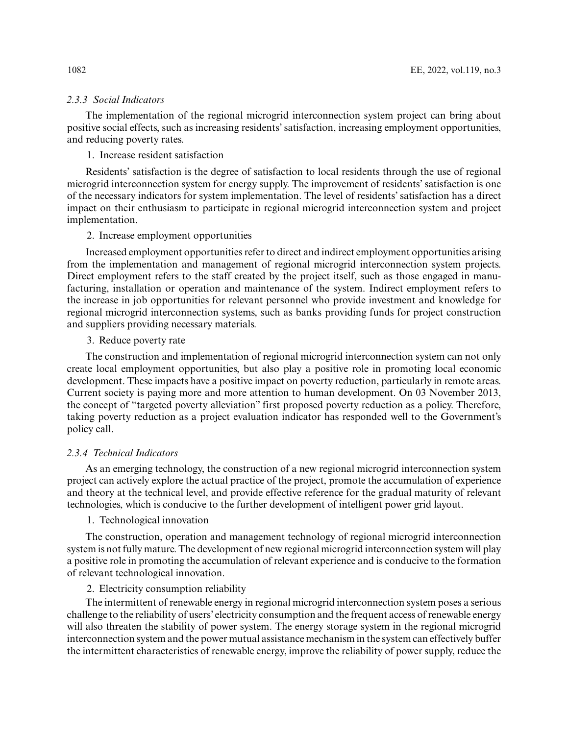#### *2.3.3 Social Indicators*

The implementation of the regional microgrid interconnection system project can bring about positive social effects, such as increasing residents' satisfaction, increasing employment opportunities, and reducing poverty rates.

1. Increase resident satisfaction

Residents' satisfaction is the degree of satisfaction to local residents through the use of regional microgrid interconnection system for energy supply. The improvement of residents' satisfaction is one of the necessary indicators for system implementation. The level of residents' satisfaction has a direct impact on their enthusiasm to participate in regional microgrid interconnection system and project implementation.

## 2. Increase employment opportunities

Increased employment opportunities refer to direct and indirect employment opportunities arising from the implementation and management of regional microgrid interconnection system projects. Direct employment refers to the staff created by the project itself, such as those engaged in manufacturing, installation or operation and maintenance of the system. Indirect employment refers to the increase in job opportunities for relevant personnel who provide investment and knowledge for regional microgrid interconnection systems, such as banks providing funds for project construction and suppliers providing necessary materials.

## 3. Reduce poverty rate

The construction and implementation of regional microgrid interconnection system can not only create local employment opportunities, but also play a positive role in promoting local economic development. These impacts have a positive impact on poverty reduction, particularly in remote areas. Current society is paying more and more attention to human development. On 03 November 2013, the concept of "targeted poverty alleviation" first proposed poverty reduction as a policy. Therefore, taking poverty reduction as a project evaluation indicator has responded well to the Government's policy call.

## *2.3.4 Technical Indicators*

As an emerging technology, the construction of a new regional microgrid interconnection system project can actively explore the actual practice of the project, promote the accumulation of experience and theory at the technical level, and provide effective reference for the gradual maturity of relevant technologies, which is conducive to the further development of intelligent power grid layout.

## 1. Technological innovation

The construction, operation and management technology of regional microgrid interconnection system is not fully mature. The development of new regional microgrid interconnection system will play a positive role in promoting the accumulation of relevant experience and is conducive to the formation of relevant technological innovation.

#### 2. Electricity consumption reliability

The intermittent of renewable energy in regional microgrid interconnection system poses a serious challenge to the reliability of users' electricity consumption and the frequent access of renewable energy will also threaten the stability of power system. The energy storage system in the regional microgrid interconnection system and the power mutual assistance mechanism in the system can effectively buffer the intermittent characteristics of renewable energy, improve the reliability of power supply, reduce the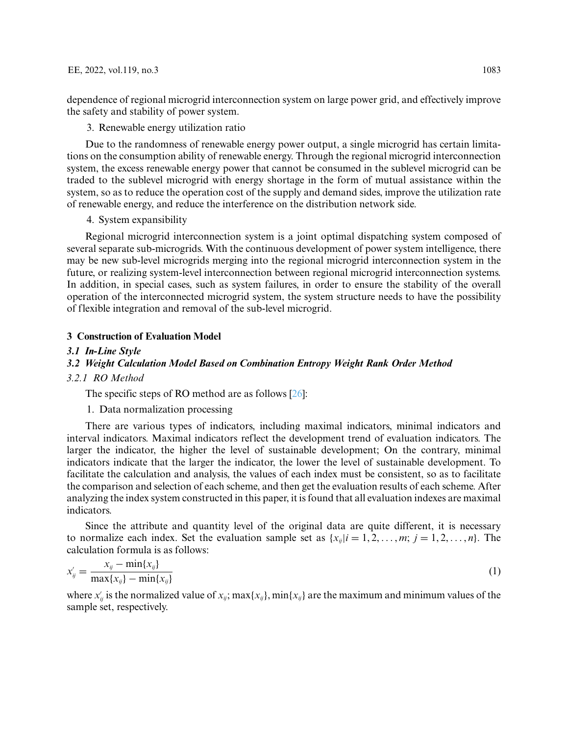dependence of regional microgrid interconnection system on large power grid, and effectively improve the safety and stability of power system.

3. Renewable energy utilization ratio

Due to the randomness of renewable energy power output, a single microgrid has certain limitations on the consumption ability of renewable energy. Through the regional microgrid interconnection system, the excess renewable energy power that cannot be consumed in the sublevel microgrid can be traded to the sublevel microgrid with energy shortage in the form of mutual assistance within the system, so as to reduce the operation cost of the supply and demand sides, improve the utilization rate of renewable energy, and reduce the interference on the distribution network side.

4. System expansibility

Regional microgrid interconnection system is a joint optimal dispatching system composed of several separate sub-microgrids. With the continuous development of power system intelligence, there may be new sub-level microgrids merging into the regional microgrid interconnection system in the future, or realizing system-level interconnection between regional microgrid interconnection systems. In addition, in special cases, such as system failures, in order to ensure the stability of the overall operation of the interconnected microgrid system, the system structure needs to have the possibility of flexible integration and removal of the sub-level microgrid.

## **3 Construction of Evaluation Model**

#### <span id="page-8-1"></span>*3.1 In-Line Style*

## *3.2 Weight Calculation Model Based on Combination Entropy Weight Rank Order Method*

#### *3.2.1 RO Method*

The specific steps of RO method are as follows [\[26\]](#page-25-12):

## 1. Data normalization processing

There are various types of indicators, including maximal indicators, minimal indicators and interval indicators. Maximal indicators reflect the development trend of evaluation indicators. The larger the indicator, the higher the level of sustainable development; On the contrary, minimal indicators indicate that the larger the indicator, the lower the level of sustainable development. To facilitate the calculation and analysis, the values of each index must be consistent, so as to facilitate the comparison and selection of each scheme, and then get the evaluation results of each scheme. After analyzing the index system constructed in this paper, it is found that all evaluation indexes are maximal indicators.

Since the attribute and quantity level of the original data are quite different, it is necessary to normalize each index. Set the evaluation sample set as  $\{x_{ij}|i = 1, 2, \ldots, m; j = 1, 2, \ldots, n\}$ . The calculation formula is as follows:

<span id="page-8-0"></span>
$$
x'_{ij} = \frac{x_{ij} - \min\{x_{ij}\}}{\max\{x_{ij}\} - \min\{x_{ij}\}}\tag{1}
$$

where  $x'_{ij}$  is the normalized value of  $x_{ij}$ ; max{ $x_{ij}$ }, min{ $x_{ij}$ } are the maximum and minimum values of the sample set, respectively.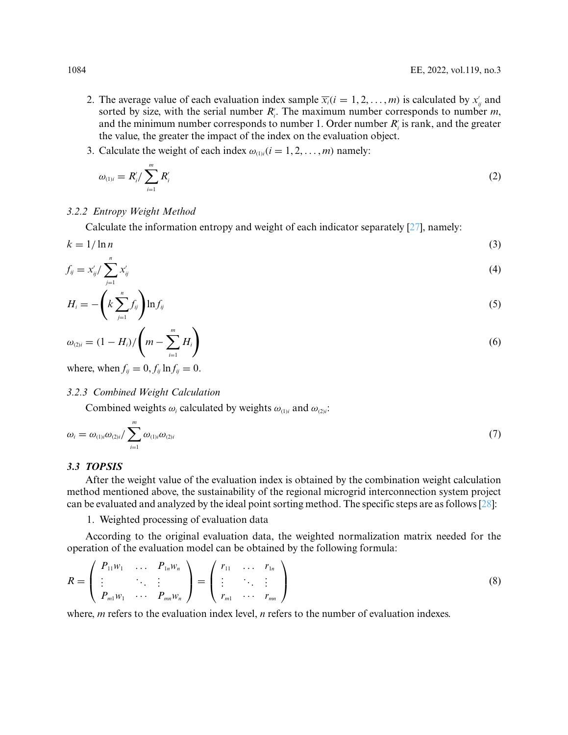- 2. The average value of each evaluation index sample  $\overline{x_i}(i = 1, 2, \ldots, m)$  is calculated by  $x'_{ij}$  and sorted by size, with the serial number  $R_i$ . The maximum number corresponds to number  $m$ , and the minimum number corresponds to number 1. Order number  $R_i'$  is rank, and the greater the value, the greater the impact of the index on the evaluation object.
- 3. Calculate the weight of each index  $\omega_{(1)i}$  ( $i = 1, 2, ..., m$ ) namely:

$$
\omega_{(1)i} = R'_i / \sum_{i=1}^m R'_i \tag{2}
$$

## *3.2.2 Entropy Weight Method*

Calculate the information entropy and weight of each indicator separately [\[27\]](#page-25-13), namely:

$$
k = 1/\ln n \tag{3}
$$

$$
f_{ij} = x'_{ij} / \sum_{j=1}^{n} x'_{ij}
$$
 (4)

$$
H_i = -\left(k\sum_{j=1}^n f_{ij}\right) \ln f_{ij} \tag{5}
$$

$$
\omega_{(2)i} = (1 - H_i) / \left( m - \sum_{i=1}^{m} H_i \right) \tag{6}
$$

where, when  $f_{ij} = 0$ ,  $f_{ij} \ln f_{ij} = 0$ .

#### *3.2.3 Combined Weight Calculation*

Combined weights  $\omega_i$  calculated by weights  $\omega_{(1)i}$  and  $\omega_{(2)i}$ :

$$
\omega_i = \omega_{(1)i}\omega_{(2)i} / \sum_{i=1}^m \omega_{(1)i}\omega_{(2)i}
$$
\n
$$
\tag{7}
$$

#### *3.3 TOPSIS*

After the weight value of the evaluation index is obtained by the combination weight calculation method mentioned above, the sustainability of the regional microgrid interconnection system project can be evaluated and analyzed by the ideal point sorting method. The specific steps are as follows [\[28\]](#page-25-14):

## 1. Weighted processing of evaluation data

According to the original evaluation data, the weighted normalization matrix needed for the operation of the evaluation model can be obtained by the following formula:

$$
R = \left(\begin{array}{cccc} P_{11}w_1 & \dots & P_{1n}w_n \\ \vdots & \ddots & \vdots \\ P_{m1}w_1 & \dots & P_{mn}w_n \end{array}\right) = \left(\begin{array}{cccc} r_{11} & \dots & r_{1n} \\ \vdots & \ddots & \vdots \\ r_{m1} & \dots & r_{mn} \end{array}\right)
$$
(8)

where, *m* refers to the evaluation index level, *n* refers to the number of evaluation indexes.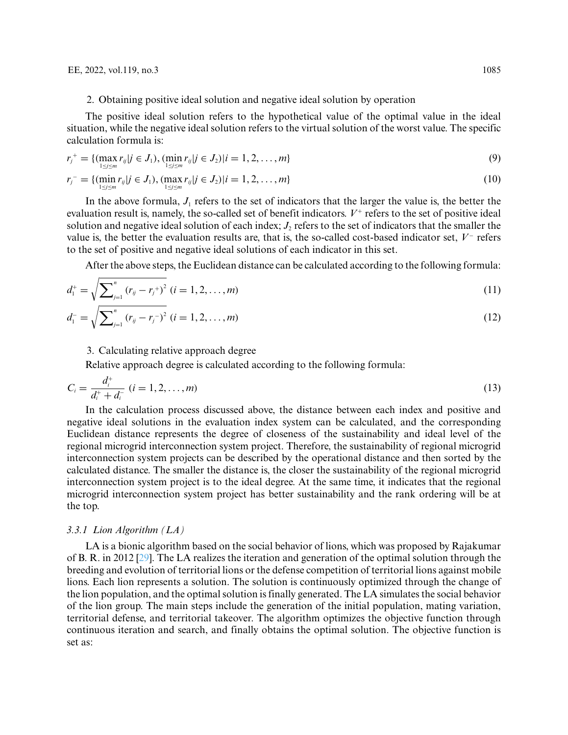2. Obtaining positive ideal solution and negative ideal solution by operation

The positive ideal solution refers to the hypothetical value of the optimal value in the ideal situation, while the negative ideal solution refers to the virtual solution of the worst value. The specific calculation formula is:

$$
r_j^+ = \{ (\max_{1 \le j \le m} r_{ij} | j \in J_1), (\min_{1 \le j \le m} r_{ij} | j \in J_2) | i = 1, 2, \dots, m \}
$$
\n(9)

$$
r_j^- = \{ (\min_{1 \le j \le m} r_{ij} | j \in J_1), (\max_{1 \le j \le m} r_{ij} | j \in J_2) | i = 1, 2, \dots, m \}
$$
(10)

In the above formula,  $J_1$  refers to the set of indicators that the larger the value is, the better the evaluation result is, namely, the so-called set of benefit indicators.  $V^+$  refers to the set of positive ideal solution and negative ideal solution of each index;  $J_2$  refers to the set of indicators that the smaller the value is, the better the evaluation results are, that is, the so-called cost-based indicator set, *V*<sup>−</sup> refers to the set of positive and negative ideal solutions of each indicator in this set.

After the above steps, the Euclidean distance can be calculated according to the following formula:

$$
d_1^+ = \sqrt{\sum_{j=1}^n (r_{ij} - r_j^+)^2} \ (i = 1, 2, \dots, m)
$$
  
\n
$$
d_1^- = \sqrt{\sum_{j=1}^n (r_{ij} - r_j^-)^2} \ (i = 1, 2, \dots, m)
$$
\n(12)

## 3. Calculating relative approach degree

Relative approach degree is calculated according to the following formula:

$$
C_i = \frac{d_i^+}{d_i^+ + d_i^-} \ (i = 1, 2, \dots, m)
$$
\n(13)

In the calculation process discussed above, the distance between each index and positive and negative ideal solutions in the evaluation index system can be calculated, and the corresponding Euclidean distance represents the degree of closeness of the sustainability and ideal level of the regional microgrid interconnection system project. Therefore, the sustainability of regional microgrid interconnection system projects can be described by the operational distance and then sorted by the calculated distance. The smaller the distance is, the closer the sustainability of the regional microgrid interconnection system project is to the ideal degree. At the same time, it indicates that the regional microgrid interconnection system project has better sustainability and the rank ordering will be at the top.

#### *3.3.1 Lion Algorithm (LA)*

LA is a bionic algorithm based on the social behavior of lions, which was proposed by Rajakumar of B. R. in 2012 [\[29\]](#page-25-15). The LA realizes the iteration and generation of the optimal solution through the breeding and evolution of territorial lions or the defense competition of territorial lions against mobile lions. Each lion represents a solution. The solution is continuously optimized through the change of the lion population, and the optimal solution is finally generated. The LA simulates the social behavior of the lion group. The main steps include the generation of the initial population, mating variation, territorial defense, and territorial takeover. The algorithm optimizes the objective function through continuous iteration and search, and finally obtains the optimal solution. The objective function is set as: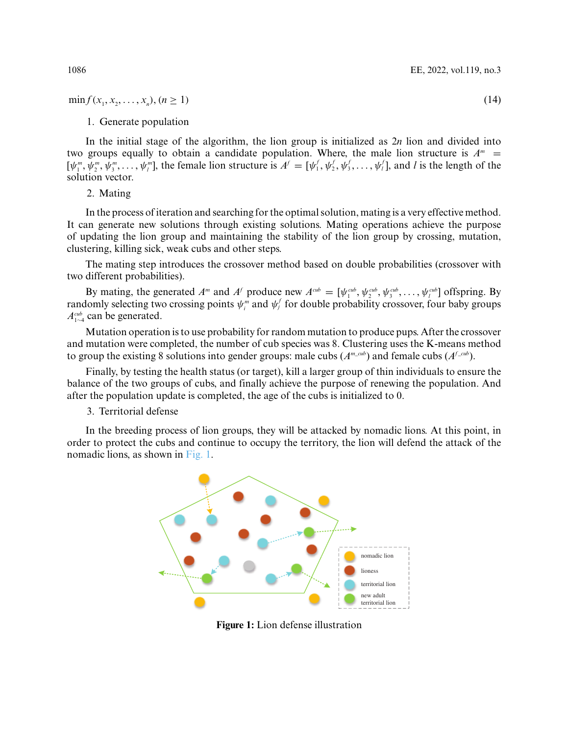$\min f(x_1, x_2, \ldots, x_n), (n \ge 1)$  (14)

## 1. Generate population

In the initial stage of the algorithm, the lion group is initialized as  $2n$  lion and divided into two groups equally to obtain a candidate population. Where, the male lion structure is  $A^m$  =  $[\psi_1^m, \psi_2^m, \psi_3^m, \dots, \psi_l^m]$ , the female lion structure is  $A^f = [\psi_1^f, \psi_2^f, \psi_3^f, \dots, \psi_l^f]$ , and l is the length of the solution vector.

## 2. Mating

In the process of iteration and searching for the optimal solution, mating is a very effective method. It can generate new solutions through existing solutions. Mating operations achieve the purpose of updating the lion group and maintaining the stability of the lion group by crossing, mutation, clustering, killing sick, weak cubs and other steps.

The mating step introduces the crossover method based on double probabilities (crossover with two different probabilities).

By mating, the generated *A<sup>m</sup>* and *A<sup>f</sup>* produce new  $A^{cub} = [\psi_1^{cub}, \psi_2^{cub}, \psi_3^{cub}, \dots, \psi_l^{cub}]$  offspring. By randomly selecting two crossing points  $\psi_i^m$  and  $\psi_j^f$  for double probability crossover, four baby groups *A*<sup>*cub*</sup></sup> can be generated.

Mutation operation is to use probability for random mutation to produce pups. After the crossover and mutation were completed, the number of cub species was 8. Clustering uses the K-means method to group the existing 8 solutions into gender groups: male cubs  $(A^{m\_cub})$  and female cubs  $(A^{f\_cub})$ .

Finally, by testing the health status (or target), kill a larger group of thin individuals to ensure the balance of the two groups of cubs, and finally achieve the purpose of renewing the population. And after the population update is completed, the age of the cubs is initialized to 0.

## 3. Territorial defense

In the breeding process of lion groups, they will be attacked by nomadic lions. At this point, in order to protect the cubs and continue to occupy the territory, the lion will defend the attack of the nomadic lions, as shown in [Fig. 1.](#page-11-0)



<span id="page-11-0"></span>**Figure 1:** Lion defense illustration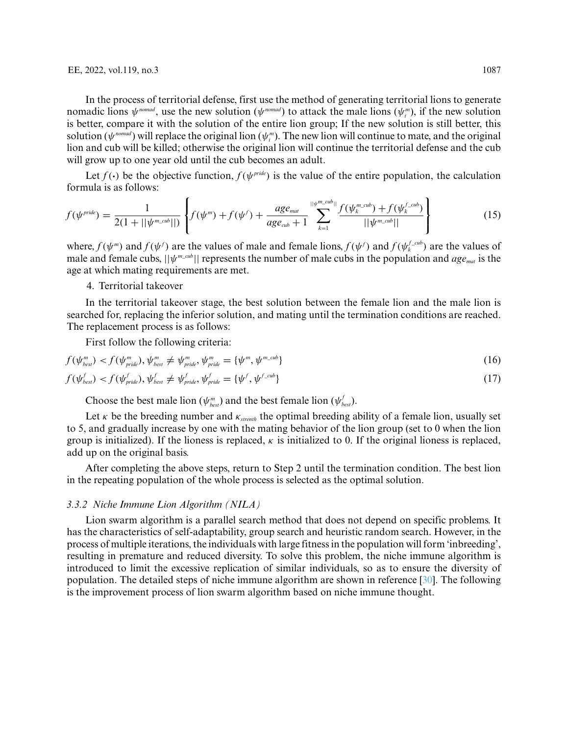#### EE, 2022, vol.119, no.3 1087

In the process of territorial defense, first use the method of generating territorial lions to generate nomadic lions  $\psi^{nomad}$ , use the new solution ( $\psi^{nomad}$ ) to attack the male lions ( $\psi_i^m$ ), if the new solution is better, compare it with the solution of the entire lion group; If the new solution is still better, this solution ( $\psi^{nomad}$ ) will replace the original lion ( $\psi_i^m$ ). The new lion will continue to mate, and the original lion and cub will be killed; otherwise the original lion will continue the territorial defense and the cub will grow up to one year old until the cub becomes an adult.

Let  $f(\cdot)$  be the objective function,  $f(\psi^{pride})$  is the value of the entire population, the calculation formula is as follows:

$$
f(\psi^{pride}) = \frac{1}{2(1+||\psi^{m\_cub}||)} \left\{ f(\psi^m) + f(\psi^f) + \frac{age_{mat}}{age_{cub} + 1} \sum_{k=1}^{||\psi^{m\_cub}||} \frac{f(\psi_k^{m\_cub}) + f(\psi_k^{f\_cub})}{||\psi^{m\_cub}||} \right\}
$$
(15)

where,  $f(\psi^m)$  and  $f(\psi^f)$  are the values of male and female lions,  $f(\psi^f)$  and  $f(\psi_k^{f_{\text{c}sub}})$  are the values of male and female cubs,  $||\psi^{m\_cub}||$  represents the number of male cubs in the population and  $age_{mat}$  is the age at which mating requirements are met.

#### 4. Territorial takeover

In the territorial takeover stage, the best solution between the female lion and the male lion is searched for, replacing the inferior solution, and mating until the termination conditions are reached. The replacement process is as follows:

First follow the following criteria:

$$
f(\psi_{best}^m) < f(\psi_{pride}^m), \psi_{best}^m \neq \psi_{pride}^m, \psi_{pride}^m = \{\psi^m, \psi^{m\_cub}\}\tag{16}
$$

$$
f(\psi_{best}^f) < f(\psi_{pride}^f), \psi_{best}^f \neq \psi_{pride}^f, \psi_{pride}^f = \{\psi^f, \psi^{f\_cub}\}\tag{17}
$$

Choose the best male lion ( $\psi^m_{best}$ ) and the best female lion ( $\psi^f_{best}$ ).

Let  $\kappa$  be the breeding number and  $\kappa_{\text{srenth}}$  the optimal breeding ability of a female lion, usually set to 5, and gradually increase by one with the mating behavior of the lion group (set to 0 when the lion group is initialized). If the lioness is replaced,  $\kappa$  is initialized to 0. If the original lioness is replaced, add up on the original basis.

After completing the above steps, return to Step 2 until the termination condition. The best lion in the repeating population of the whole process is selected as the optimal solution.

#### *3.3.2 Niche Immune Lion Algorithm (NILA)*

Lion swarm algorithm is a parallel search method that does not depend on specific problems. It has the characteristics of self-adaptability, group search and heuristic random search. However, in the process of multiple iterations, the individuals with large fitness in the population will form 'inbreeding', resulting in premature and reduced diversity. To solve this problem, the niche immune algorithm is introduced to limit the excessive replication of similar individuals, so as to ensure the diversity of population. The detailed steps of niche immune algorithm are shown in reference [\[30\]](#page-26-0). The following is the improvement process of lion swarm algorithm based on niche immune thought.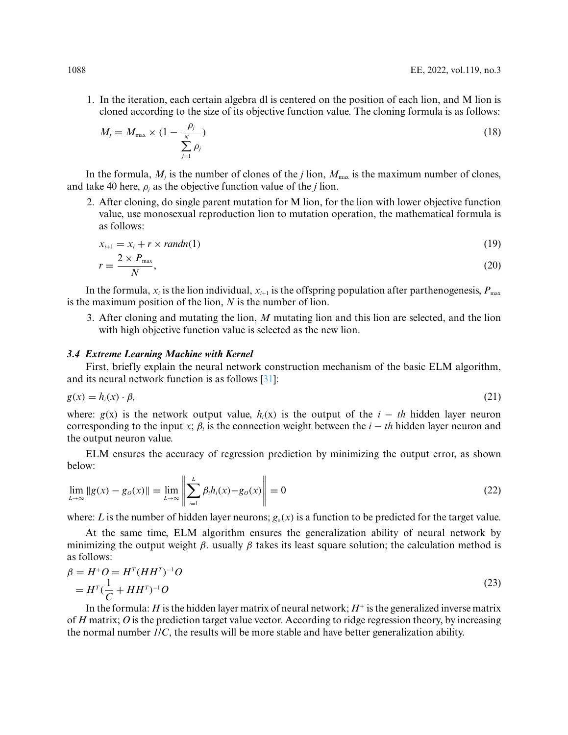1. In the iteration, each certain algebra dl is centered on the position of each lion, and M lion is cloned according to the size of its objective function value. The cloning formula is as follows:

$$
M_j = M_{\max} \times (1 - \frac{\rho_j}{\sum_{j=1}^N \rho_j})
$$
\n(18)

In the formula,  $M_i$  is the number of clones of the *j* lion,  $M_{\text{max}}$  is the maximum number of clones, and take 40 here,  $\rho_i$  as the objective function value of the *j* lion.

2. After cloning, do single parent mutation for M lion, for the lion with lower objective function value, use monosexual reproduction lion to mutation operation, the mathematical formula is as follows:

$$
x_{i+1} = x_i + r \times randn(1) \tag{19}
$$

$$
r = \frac{2 \times P_{\text{max}}}{N},\tag{20}
$$

In the formula,  $x_i$  is the lion individual,  $x_{i+1}$  is the offspring population after parthenogenesis,  $P_{\text{max}}$ is the maximum position of the lion, *N* is the number of lion.

3. After cloning and mutating the lion, *M* mutating lion and this lion are selected, and the lion with high objective function value is selected as the new lion.

#### *3.4 Extreme Learning Machine with Kernel*

First, briefly explain the neural network construction mechanism of the basic ELM algorithm, and its neural network function is as follows [\[31\]](#page-26-1):

$$
g(x) = h_i(x) \cdot \beta_i \tag{21}
$$

where:  $g(x)$  is the network output value,  $h_i(x)$  is the output of the  $i - th$  hidden layer neuron corresponding to the input *x*;  $\beta$ <sup>*i*</sup> is the connection weight between the *i* − *th* hidden layer neuron and the output neuron value.

ELM ensures the accuracy of regression prediction by minimizing the output error, as shown below:

$$
\lim_{L \to \infty} \|g(x) - g_o(x)\| = \lim_{L \to \infty} \left\| \sum_{i=1}^{L} \beta_i h_i(x) - g_o(x) \right\| = 0
$$
\n(22)

where: *L* is the number of hidden layer neurons;  $g<sub>o</sub>(x)$  is a function to be predicted for the target value.

At the same time, ELM algorithm ensures the generalization ability of neural network by minimizing the output weight  $\beta$ . usually  $\beta$  takes its least square solution; the calculation method is as follows:

$$
\beta = H^+O = H^T (HH^T)^{-1}O \n= H^T(\frac{1}{C} + HH^T)^{-1}O
$$
\n(23)

In the formula: *H* is the hidden layer matrix of neural network;  $H^+$  is the generalized inverse matrix of *H* matrix; *O* is the prediction target value vector. According to ridge regression theory, by increasing the normal number *1/C*, the results will be more stable and have better generalization ability.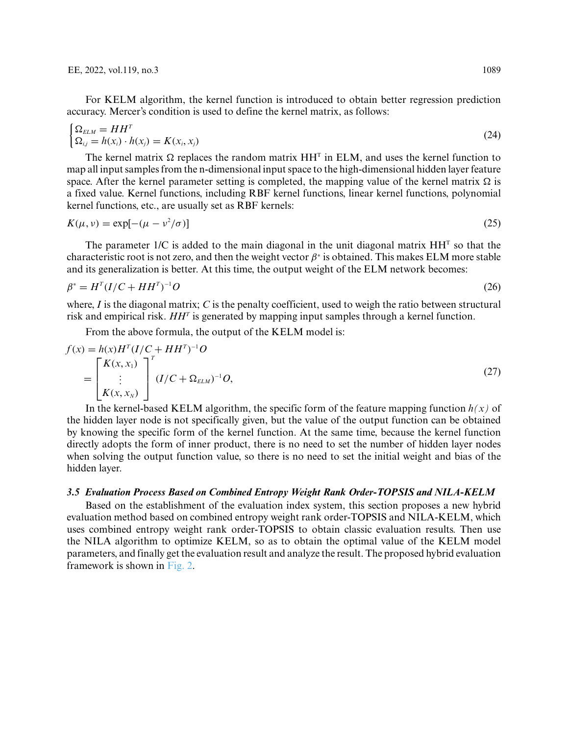EE, 2022, vol.119, no.3 1089

For KELM algorithm, the kernel function is introduced to obtain better regression prediction accuracy. Mercer's condition is used to define the kernel matrix, as follows:

$$
\begin{cases} \Omega_{ELM} = HH^T\\ \Omega_{ij} = h(x_i) \cdot h(x_j) = K(x_i, x_j) \end{cases} \tag{24}
$$

The kernel matrix  $\Omega$  replaces the random matrix HH<sup>T</sup> in ELM, and uses the kernel function to map all input samples from the n-dimensional input space to the high-dimensional hidden layer feature space. After the kernel parameter setting is completed, the mapping value of the kernel matrix  $\Omega$  is a fixed value. Kernel functions, including RBF kernel functions, linear kernel functions, polynomial kernel functions, etc., are usually set as RBF kernels:

$$
K(\mu, \nu) = \exp[-(\mu - \nu^2/\sigma)]
$$
\n(25)

The parameter  $1/C$  is added to the main diagonal in the unit diagonal matrix  $HH<sup>T</sup>$  so that the characteristic root is not zero, and then the weight vector  $\beta^*$  is obtained. This makes ELM more stable and its generalization is better. At this time, the output weight of the ELM network becomes:

$$
\beta^* = H^T (I/C + H H^T)^{-1} O \tag{26}
$$

where, *I* is the diagonal matrix; *C* is the penalty coefficient, used to weigh the ratio between structural risk and empirical risk. *HHT* is generated by mapping input samples through a kernel function.

From the above formula, the output of the KELM model is:

$$
f(x) = h(x)H^{T}(I/C + HH^{T})^{-1}O
$$
  
= 
$$
\begin{bmatrix} K(x, x_{1}) \\ \vdots \\ K(x, x_{N}) \end{bmatrix}^{T} (I/C + \Omega_{ELM})^{-1}O,
$$
 (27)

In the kernel-based KELM algorithm, the specific form of the feature mapping function  $h(x)$  of the hidden layer node is not specifically given, but the value of the output function can be obtained by knowing the specific form of the kernel function. At the same time, because the kernel function directly adopts the form of inner product, there is no need to set the number of hidden layer nodes when solving the output function value, so there is no need to set the initial weight and bias of the hidden layer.

#### *3.5 Evaluation Process Based on Combined Entropy Weight Rank Order-TOPSIS and NILA-KELM*

Based on the establishment of the evaluation index system, this section proposes a new hybrid evaluation method based on combined entropy weight rank order-TOPSIS and NILA-KELM, which uses combined entropy weight rank order-TOPSIS to obtain classic evaluation results. Then use the NILA algorithm to optimize KELM, so as to obtain the optimal value of the KELM model parameters, and finally get the evaluation result and analyze the result. The proposed hybrid evaluation framework is shown in [Fig. 2.](#page-15-0)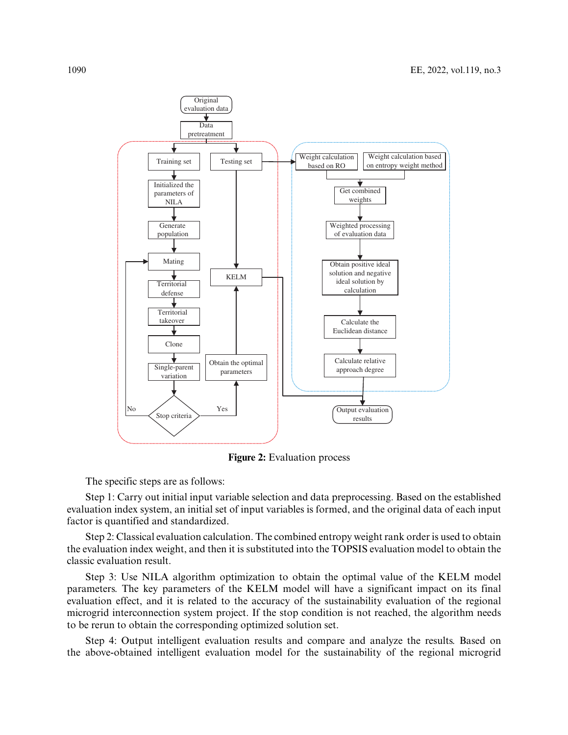

**Figure 2:** Evaluation process

<span id="page-15-0"></span>The specific steps are as follows:

Step 1: Carry out initial input variable selection and data preprocessing. Based on the established evaluation index system, an initial set of input variables is formed, and the original data of each input factor is quantified and standardized.

Step 2: Classical evaluation calculation. The combined entropy weight rank order is used to obtain the evaluation index weight, and then it is substituted into the TOPSIS evaluation model to obtain the classic evaluation result.

Step 3: Use NILA algorithm optimization to obtain the optimal value of the KELM model parameters. The key parameters of the KELM model will have a significant impact on its final evaluation effect, and it is related to the accuracy of the sustainability evaluation of the regional microgrid interconnection system project. If the stop condition is not reached, the algorithm needs to be rerun to obtain the corresponding optimized solution set.

Step 4: Output intelligent evaluation results and compare and analyze the results. Based on the above-obtained intelligent evaluation model for the sustainability of the regional microgrid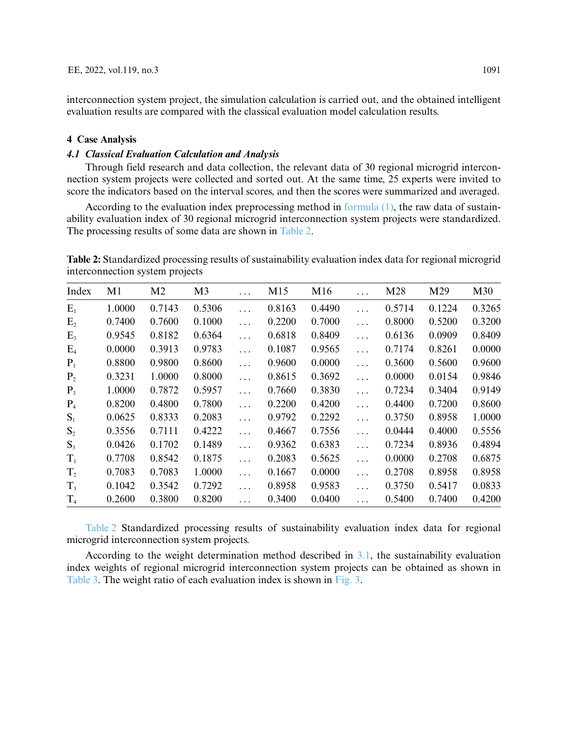interconnection system project, the simulation calculation is carried out, and the obtained intelligent evaluation results are compared with the classical evaluation model calculation results.

#### **4 Case Analysis**

## *4.1 Classical Evaluation Calculation and Analysis*

Through field research and data collection, the relevant data of 30 regional microgrid interconnection system projects were collected and sorted out. At the same time, 25 experts were invited to score the indicators based on the interval scores, and then the scores were summarized and averaged.

According to the evaluation index preprocessing method in [formula \(1\),](#page-8-0) the raw data of sustainability evaluation index of 30 regional microgrid interconnection system projects were standardized. The processing results of some data are shown in [Table 2.](#page-16-0)

<span id="page-16-0"></span>**Table 2:** Standardized processing results of sustainability evaluation index data for regional microgrid interconnection system projects

| Index          | M1     | M <sub>2</sub> | M <sub>3</sub> | .        | M <sub>15</sub> | M16    | $\cdots$ | M28    | M29    | M30    |
|----------------|--------|----------------|----------------|----------|-----------------|--------|----------|--------|--------|--------|
| $E_1$          | 1.0000 | 0.7143         | 0.5306         | .        | 0.8163          | 0.4490 | $\cdots$ | 0.5714 | 0.1224 | 0.3265 |
| E <sub>2</sub> | 0.7400 | 0.7600         | 0.1000         | $\cdots$ | 0.2200          | 0.7000 | $\cdots$ | 0.8000 | 0.5200 | 0.3200 |
| $E_3$          | 0.9545 | 0.8182         | 0.6364         | $\cdots$ | 0.6818          | 0.8409 | $\cdots$ | 0.6136 | 0.0909 | 0.8409 |
| $E_4$          | 0.0000 | 0.3913         | 0.9783         | .        | 0.1087          | 0.9565 | $\cdots$ | 0.7174 | 0.8261 | 0.0000 |
| $P_1$          | 0.8800 | 0.9800         | 0.8600         | $\cdots$ | 0.9600          | 0.0000 | $\cdots$ | 0.3600 | 0.5600 | 0.9600 |
| P <sub>2</sub> | 0.3231 | 1.0000         | 0.8000         | $\cdots$ | 0.8615          | 0.3692 | $\cdots$ | 0.0000 | 0.0154 | 0.9846 |
| $P_3$          | 1.0000 | 0.7872         | 0.5957         | $\cdots$ | 0.7660          | 0.3830 | $\cdots$ | 0.7234 | 0.3404 | 0.9149 |
| P <sub>4</sub> | 0.8200 | 0.4800         | 0.7800         | $\cdots$ | 0.2200          | 0.4200 | $\cdots$ | 0.4400 | 0.7200 | 0.8600 |
| $S_1$          | 0.0625 | 0.8333         | 0.2083         | $\cdots$ | 0.9792          | 0.2292 | $\cdots$ | 0.3750 | 0.8958 | 1.0000 |
| S <sub>2</sub> | 0.3556 | 0.7111         | 0.4222         | $\cdots$ | 0.4667          | 0.7556 | $\cdots$ | 0.0444 | 0.4000 | 0.5556 |
| $S_3$          | 0.0426 | 0.1702         | 0.1489         | $\cdots$ | 0.9362          | 0.6383 | $\cdots$ | 0.7234 | 0.8936 | 0.4894 |
| $T_1$          | 0.7708 | 0.8542         | 0.1875         | $\cdots$ | 0.2083          | 0.5625 | $\cdots$ | 0.0000 | 0.2708 | 0.6875 |
| T <sub>2</sub> | 0.7083 | 0.7083         | 1.0000         | $\cdots$ | 0.1667          | 0.0000 | $\cdots$ | 0.2708 | 0.8958 | 0.8958 |
| T <sub>3</sub> | 0.1042 | 0.3542         | 0.7292         | .        | 0.8958          | 0.9583 | $\cdots$ | 0.3750 | 0.5417 | 0.0833 |
| T <sub>4</sub> | 0.2600 | 0.3800         | 0.8200         | .        | 0.3400          | 0.0400 | .        | 0.5400 | 0.7400 | 0.4200 |
|                |        |                |                |          |                 |        |          |        |        |        |

[Table 2](#page-16-0) Standardized processing results of sustainability evaluation index data for regional microgrid interconnection system projects.

According to the weight determination method described in [3.1,](#page-8-1) the sustainability evaluation index weights of regional microgrid interconnection system projects can be obtained as shown in [Table 3.](#page-17-0) The weight ratio of each evaluation index is shown in [Fig. 3.](#page-17-1)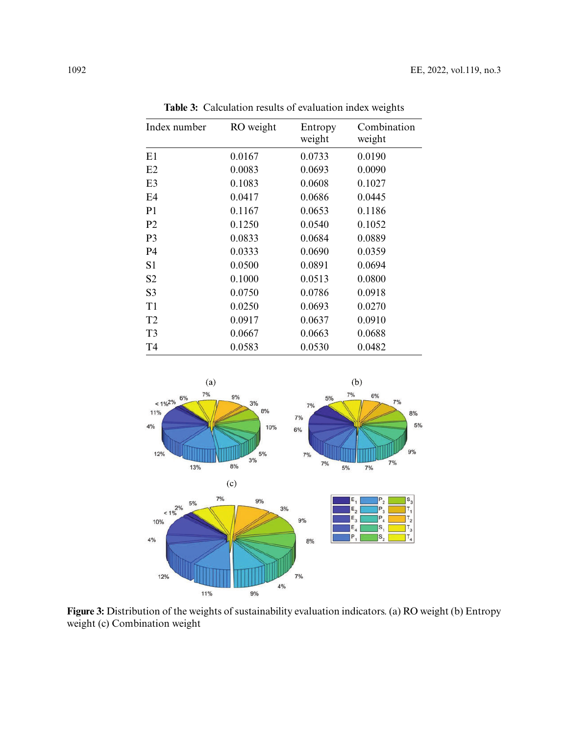<span id="page-17-0"></span>

| RO weight | Entropy<br>weight | Combination<br>weight |
|-----------|-------------------|-----------------------|
| 0.0167    | 0.0733            | 0.0190                |
| 0.0083    | 0.0693            | 0.0090                |
| 0.1083    | 0.0608            | 0.1027                |
| 0.0417    | 0.0686            | 0.0445                |
| 0.1167    | 0.0653            | 0.1186                |
| 0.1250    | 0.0540            | 0.1052                |
| 0.0833    | 0.0684            | 0.0889                |
| 0.0333    | 0.0690            | 0.0359                |
| 0.0500    | 0.0891            | 0.0694                |
| 0.1000    | 0.0513            | 0.0800                |
| 0.0750    | 0.0786            | 0.0918                |
| 0.0250    | 0.0693            | 0.0270                |
| 0.0917    | 0.0637            | 0.0910                |
| 0.0667    | 0.0663            | 0.0688                |
| 0.0583    | 0.0530            | 0.0482                |
|           |                   |                       |

**Table 3:** Calculation results of evaluation index weights



<span id="page-17-1"></span>**Figure 3:** Distribution of the weights of sustainability evaluation indicators. (a) RO weight (b) Entropy weight (c) Combination weight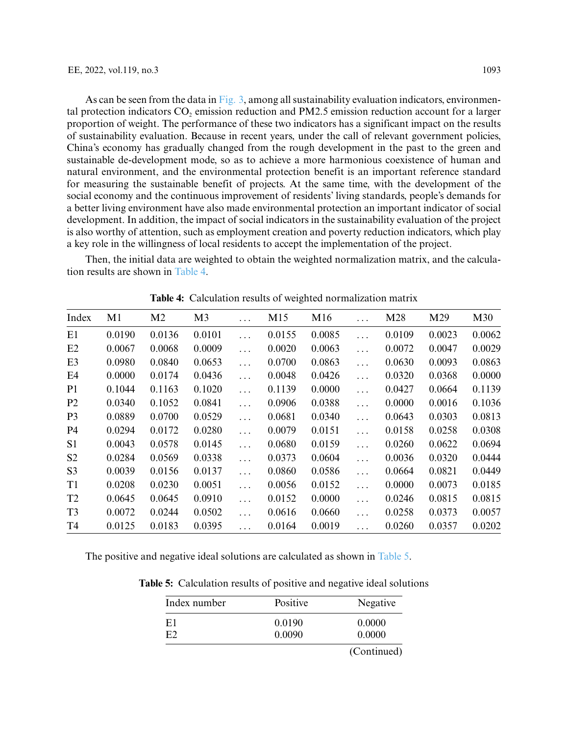As can be seen from the data in [Fig. 3,](#page-17-1) among all sustainability evaluation indicators, environmental protection indicators CO<sub>2</sub> emission reduction and PM2.5 emission reduction account for a larger proportion of weight. The performance of these two indicators has a significant impact on the results of sustainability evaluation. Because in recent years, under the call of relevant government policies, China's economy has gradually changed from the rough development in the past to the green and sustainable de-development mode, so as to achieve a more harmonious coexistence of human and natural environment, and the environmental protection benefit is an important reference standard for measuring the sustainable benefit of projects. At the same time, with the development of the social economy and the continuous improvement of residents' living standards, people's demands for a better living environment have also made environmental protection an important indicator of social development. In addition, the impact of social indicators in the sustainability evaluation of the project is also worthy of attention, such as employment creation and poverty reduction indicators, which play a key role in the willingness of local residents to accept the implementation of the project.

Then, the initial data are weighted to obtain the weighted normalization matrix, and the calculation results are shown in [Table 4.](#page-18-0)

<span id="page-18-0"></span>

| Index          | M <sub>1</sub> | M <sub>2</sub> | M <sub>3</sub> | .         | M15    | M16    | .        | M28    | M29    | M30    |
|----------------|----------------|----------------|----------------|-----------|--------|--------|----------|--------|--------|--------|
| E1             | 0.0190         | 0.0136         | 0.0101         | $\cdots$  | 0.0155 | 0.0085 | $\cdots$ | 0.0109 | 0.0023 | 0.0062 |
| E2             | 0.0067         | 0.0068         | 0.0009         | $\cdots$  | 0.0020 | 0.0063 | $\cdots$ | 0.0072 | 0.0047 | 0.0029 |
| E <sub>3</sub> | 0.0980         | 0.0840         | 0.0653         | .         | 0.0700 | 0.0863 | $\cdots$ | 0.0630 | 0.0093 | 0.0863 |
| E4             | 0.0000         | 0.0174         | 0.0436         | $\ddotsc$ | 0.0048 | 0.0426 | $\cdots$ | 0.0320 | 0.0368 | 0.0000 |
| P <sub>1</sub> | 0.1044         | 0.1163         | 0.1020         | $\cdots$  | 0.1139 | 0.0000 | $\cdots$ | 0.0427 | 0.0664 | 0.1139 |
| P <sub>2</sub> | 0.0340         | 0.1052         | 0.0841         | .         | 0.0906 | 0.0388 | $\cdots$ | 0.0000 | 0.0016 | 0.1036 |
| P <sub>3</sub> | 0.0889         | 0.0700         | 0.0529         | $\cdots$  | 0.0681 | 0.0340 | $\cdots$ | 0.0643 | 0.0303 | 0.0813 |
| <b>P4</b>      | 0.0294         | 0.0172         | 0.0280         | $\cdots$  | 0.0079 | 0.0151 | $\ldots$ | 0.0158 | 0.0258 | 0.0308 |
| S <sub>1</sub> | 0.0043         | 0.0578         | 0.0145         | $\cdots$  | 0.0680 | 0.0159 | $\cdots$ | 0.0260 | 0.0622 | 0.0694 |
| S <sub>2</sub> | 0.0284         | 0.0569         | 0.0338         | $\cdots$  | 0.0373 | 0.0604 | $\cdots$ | 0.0036 | 0.0320 | 0.0444 |
| S <sub>3</sub> | 0.0039         | 0.0156         | 0.0137         | $\cdots$  | 0.0860 | 0.0586 | $\cdots$ | 0.0664 | 0.0821 | 0.0449 |
| T1             | 0.0208         | 0.0230         | 0.0051         | .         | 0.0056 | 0.0152 | $\cdots$ | 0.0000 | 0.0073 | 0.0185 |
| T <sub>2</sub> | 0.0645         | 0.0645         | 0.0910         | $\cdots$  | 0.0152 | 0.0000 | $\cdots$ | 0.0246 | 0.0815 | 0.0815 |
| T <sub>3</sub> | 0.0072         | 0.0244         | 0.0502         | $\cdots$  | 0.0616 | 0.0660 | $\cdots$ | 0.0258 | 0.0373 | 0.0057 |
| T <sub>4</sub> | 0.0125         | 0.0183         | 0.0395         |           | 0.0164 | 0.0019 | $\cdots$ | 0.0260 | 0.0357 | 0.0202 |

**Table 4:** Calculation results of weighted normalization matrix

The positive and negative ideal solutions are calculated as shown in [Table 5.](#page-18-1)

|              | <b>Table 5:</b> Calculation results of positive and negative ideal solutions |          |  |
|--------------|------------------------------------------------------------------------------|----------|--|
| Index number | Positive                                                                     | Negative |  |

<span id="page-18-1"></span>

| Index number   | Positive | Negative    |
|----------------|----------|-------------|
| E1             | 0.0190   | 0.0000      |
| E <sub>2</sub> | 0.0090   | 0.0000      |
|                |          | (Continued) |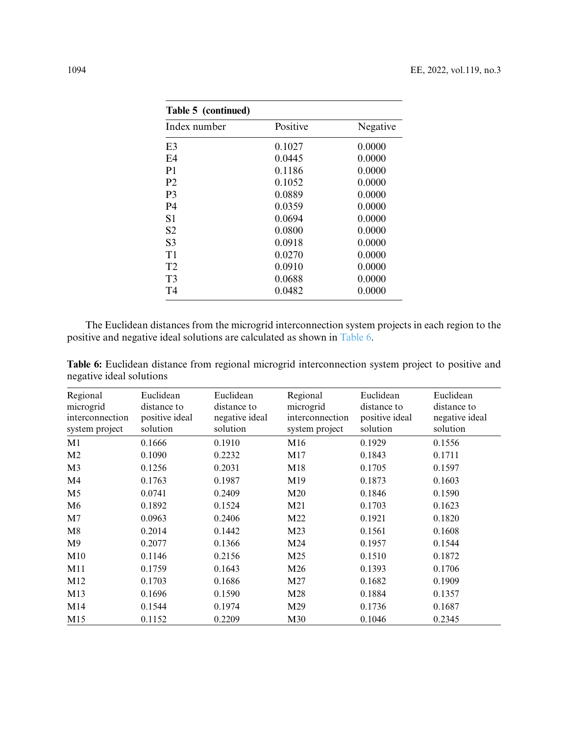| Table 5 (continued) |          |          |  |  |  |  |  |
|---------------------|----------|----------|--|--|--|--|--|
| Index number        | Positive | Negative |  |  |  |  |  |
| E <sub>3</sub>      | 0.1027   | 0.0000   |  |  |  |  |  |
| E4                  | 0.0445   | 0.0000   |  |  |  |  |  |
| P <sub>1</sub>      | 0.1186   | 0.0000   |  |  |  |  |  |
| P <sub>2</sub>      | 0.1052   | 0.0000   |  |  |  |  |  |
| P <sub>3</sub>      | 0.0889   | 0.0000   |  |  |  |  |  |
| P <sub>4</sub>      | 0.0359   | 0.0000   |  |  |  |  |  |
| S <sub>1</sub>      | 0.0694   | 0.0000   |  |  |  |  |  |
| S <sub>2</sub>      | 0.0800   | 0.0000   |  |  |  |  |  |
| S <sub>3</sub>      | 0.0918   | 0.0000   |  |  |  |  |  |
| T1                  | 0.0270   | 0.0000   |  |  |  |  |  |
| T <sub>2</sub>      | 0.0910   | 0.0000   |  |  |  |  |  |
| T <sup>3</sup>      | 0.0688   | 0.0000   |  |  |  |  |  |
| T4                  | 0.0482   | 0.0000   |  |  |  |  |  |

The Euclidean distances from the microgrid interconnection system projects in each region to the positive and negative ideal solutions are calculated as shown in [Table 6.](#page-19-0)

<span id="page-19-0"></span>

| $\mathbf{n}$ , $\mathbf{1}$ |                                                                                                           | $\mathbf{r}$ $\mathbf{r}$ $\mathbf{r}$ $\mathbf{r}$ | $\mathbf{r}$ 1 1 $\mathbf{r}$ | $\mathbf{n}$ , $\mathbf{1}$ | $\mathbf{r}$ 1 1 $\mathbf{r}$ |  | $\Gamma$ 1.1 |  |
|-----------------------------|-----------------------------------------------------------------------------------------------------------|-----------------------------------------------------|-------------------------------|-----------------------------|-------------------------------|--|--------------|--|
|                             | negative ideal solutions                                                                                  |                                                     |                               |                             |                               |  |              |  |
|                             | <b>Table 6:</b> Euclidean distance from regional microgrid interconnection system project to positive and |                                                     |                               |                             |                               |  |              |  |

| Regional<br>microgrid<br>interconnection<br>system project | Euclidean<br>distance to<br>positive ideal<br>solution | Euclidean<br>distance to<br>negative ideal<br>solution | Regional<br>microgrid<br>interconnection<br>system project | Euclidean<br>distance to<br>positive ideal<br>solution | Euclidean<br>distance to<br>negative ideal<br>solution |
|------------------------------------------------------------|--------------------------------------------------------|--------------------------------------------------------|------------------------------------------------------------|--------------------------------------------------------|--------------------------------------------------------|
| M1                                                         | 0.1666                                                 | 0.1910                                                 | M16                                                        | 0.1929                                                 | 0.1556                                                 |
| M <sub>2</sub>                                             | 0.1090                                                 | 0.2232                                                 | M17                                                        | 0.1843                                                 | 0.1711                                                 |
| M <sub>3</sub>                                             | 0.1256                                                 | 0.2031                                                 | M18                                                        | 0.1705                                                 | 0.1597                                                 |
| M <sub>4</sub>                                             | 0.1763                                                 | 0.1987                                                 | M19                                                        | 0.1873                                                 | 0.1603                                                 |
| M <sub>5</sub>                                             | 0.0741                                                 | 0.2409                                                 | M20                                                        | 0.1846                                                 | 0.1590                                                 |
| M6                                                         | 0.1892                                                 | 0.1524                                                 | M <sub>21</sub>                                            | 0.1703                                                 | 0.1623                                                 |
| M <sub>7</sub>                                             | 0.0963                                                 | 0.2406                                                 | M22                                                        | 0.1921                                                 | 0.1820                                                 |
| M8                                                         | 0.2014                                                 | 0.1442                                                 | M <sub>23</sub>                                            | 0.1561                                                 | 0.1608                                                 |
| M <sup>9</sup>                                             | 0.2077                                                 | 0.1366                                                 | M24                                                        | 0.1957                                                 | 0.1544                                                 |
| M10                                                        | 0.1146                                                 | 0.2156                                                 | M <sub>25</sub>                                            | 0.1510                                                 | 0.1872                                                 |
| M11                                                        | 0.1759                                                 | 0.1643                                                 | M26                                                        | 0.1393                                                 | 0.1706                                                 |
| M12                                                        | 0.1703                                                 | 0.1686                                                 | M27                                                        | 0.1682                                                 | 0.1909                                                 |
| M13                                                        | 0.1696                                                 | 0.1590                                                 | M28                                                        | 0.1884                                                 | 0.1357                                                 |
| M14                                                        | 0.1544                                                 | 0.1974                                                 | M29                                                        | 0.1736                                                 | 0.1687                                                 |
| M15                                                        | 0.1152                                                 | 0.2209                                                 | M30                                                        | 0.1046                                                 | 0.2345                                                 |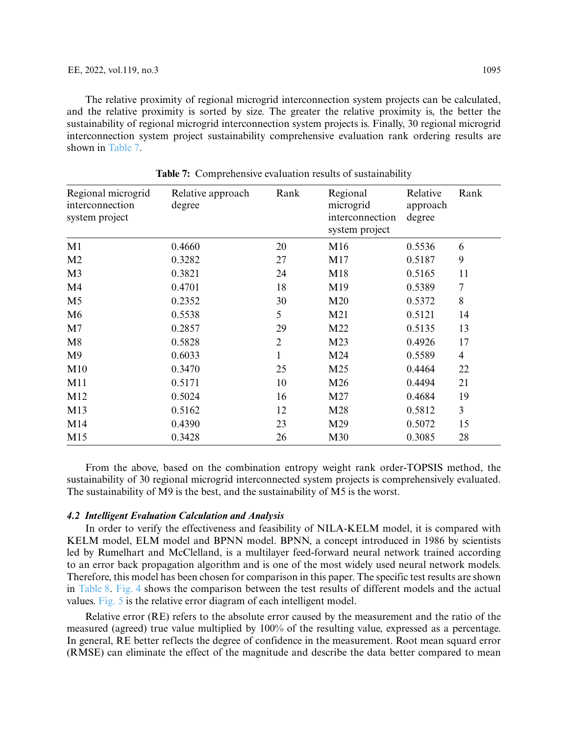The relative proximity of regional microgrid interconnection system projects can be calculated, and the relative proximity is sorted by size. The greater the relative proximity is, the better the sustainability of regional microgrid interconnection system projects is. Finally, 30 regional microgrid interconnection system project sustainability comprehensive evaluation rank ordering results are shown in [Table 7.](#page-20-0)

<span id="page-20-0"></span>

| Regional microgrid<br>interconnection<br>system project | Relative approach<br>degree | Rank           | Regional<br>microgrid<br>interconnection<br>system project | Relative<br>approach<br>degree | Rank           |
|---------------------------------------------------------|-----------------------------|----------------|------------------------------------------------------------|--------------------------------|----------------|
| M1                                                      | 0.4660                      | 20             | M16                                                        | 0.5536                         | 6              |
| M <sub>2</sub>                                          | 0.3282                      | 27             | M17                                                        | 0.5187                         | 9              |
| M <sub>3</sub>                                          | 0.3821                      | 24             | M18                                                        | 0.5165                         | 11             |
| M <sub>4</sub>                                          | 0.4701                      | 18             | M19                                                        | 0.5389                         | 7              |
| M <sub>5</sub>                                          | 0.2352                      | 30             | M20                                                        | 0.5372                         | 8              |
| M <sub>6</sub>                                          | 0.5538                      | 5              | M21                                                        | 0.5121                         | 14             |
| M <sub>7</sub>                                          | 0.2857                      | 29             | M22                                                        | 0.5135                         | 13             |
| M8                                                      | 0.5828                      | $\overline{2}$ | M <sub>23</sub>                                            | 0.4926                         | 17             |
| M <sub>9</sub>                                          | 0.6033                      | 1              | M24                                                        | 0.5589                         | $\overline{4}$ |
| M10                                                     | 0.3470                      | 25             | M <sub>25</sub>                                            | 0.4464                         | 22             |
| M11                                                     | 0.5171                      | 10             | M26                                                        | 0.4494                         | 21             |
| M12                                                     | 0.5024                      | 16             | M27                                                        | 0.4684                         | 19             |
| M13                                                     | 0.5162                      | 12             | M28                                                        | 0.5812                         | 3              |
| M14                                                     | 0.4390                      | 23             | M29                                                        | 0.5072                         | 15             |
| M15                                                     | 0.3428                      | 26             | M30                                                        | 0.3085                         | 28             |

**Table 7:** Comprehensive evaluation results of sustainability

From the above, based on the combination entropy weight rank order-TOPSIS method, the sustainability of 30 regional microgrid interconnected system projects is comprehensively evaluated. The sustainability of M9 is the best, and the sustainability of M5 is the worst.

#### *4.2 Intelligent Evaluation Calculation and Analysis*

In order to verify the effectiveness and feasibility of NILA-KELM model, it is compared with KELM model, ELM model and BPNN model. BPNN, a concept introduced in 1986 by scientists led by Rumelhart and McClelland, is a multilayer feed-forward neural network trained according to an error back propagation algorithm and is one of the most widely used neural network models. Therefore, this model has been chosen for comparison in this paper. The specific test results are shown in [Table 8.](#page-21-0) [Fig. 4](#page-22-0) shows the comparison between the test results of different models and the actual values. [Fig. 5](#page-22-1) is the relative error diagram of each intelligent model.

Relative error (RE) refers to the absolute error caused by the measurement and the ratio of the measured (agreed) true value multiplied by 100% of the resulting value, expressed as a percentage. In general, RE better reflects the degree of confidence in the measurement. Root mean squard error (RMSE) can eliminate the effect of the magnitude and describe the data better compared to mean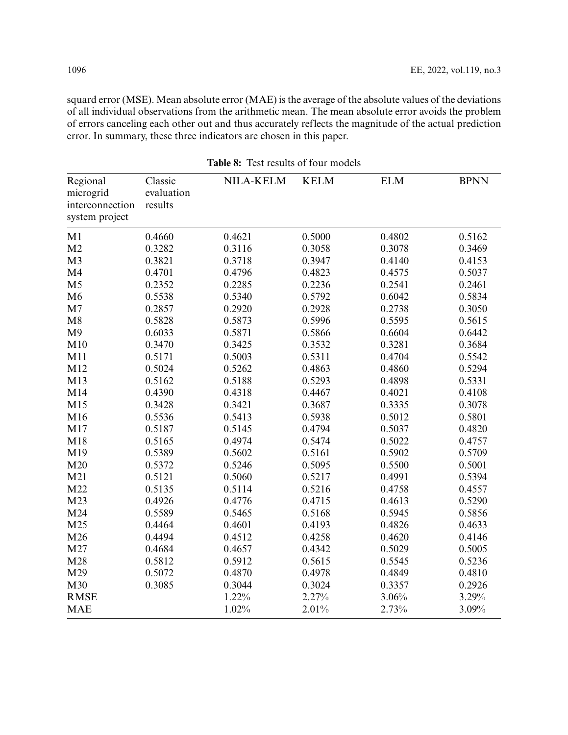squard error (MSE). Mean absolute error (MAE) is the average of the absolute values of the deviations of all individual observations from the arithmetic mean. The mean absolute error avoids the problem of errors canceling each other out and thus accurately reflects the magnitude of the actual prediction error. In summary, these three indicators are chosen in this paper.

| Regional        | Classic    | NILA-KELM | <b>KELM</b> | <b>ELM</b> | <b>BPNN</b> |
|-----------------|------------|-----------|-------------|------------|-------------|
| microgrid       | evaluation |           |             |            |             |
| interconnection | results    |           |             |            |             |
| system project  |            |           |             |            |             |
| M1              | 0.4660     | 0.4621    | 0.5000      | 0.4802     | 0.5162      |
| M <sub>2</sub>  | 0.3282     | 0.3116    | 0.3058      | 0.3078     | 0.3469      |
| M <sub>3</sub>  | 0.3821     | 0.3718    | 0.3947      | 0.4140     | 0.4153      |
| M <sub>4</sub>  | 0.4701     | 0.4796    | 0.4823      | 0.4575     | 0.5037      |
| M <sub>5</sub>  | 0.2352     | 0.2285    | 0.2236      | 0.2541     | 0.2461      |
| M6              | 0.5538     | 0.5340    | 0.5792      | 0.6042     | 0.5834      |
| M <sub>7</sub>  | 0.2857     | 0.2920    | 0.2928      | 0.2738     | 0.3050      |
| M8              | 0.5828     | 0.5873    | 0.5996      | 0.5595     | 0.5615      |
| M <sub>9</sub>  | 0.6033     | 0.5871    | 0.5866      | 0.6604     | 0.6442      |
| M10             | 0.3470     | 0.3425    | 0.3532      | 0.3281     | 0.3684      |
| M11             | 0.5171     | 0.5003    | 0.5311      | 0.4704     | 0.5542      |
| M12             | 0.5024     | 0.5262    | 0.4863      | 0.4860     | 0.5294      |
| M13             | 0.5162     | 0.5188    | 0.5293      | 0.4898     | 0.5331      |
| M14             | 0.4390     | 0.4318    | 0.4467      | 0.4021     | 0.4108      |
| M15             | 0.3428     | 0.3421    | 0.3687      | 0.3335     | 0.3078      |
| M16             | 0.5536     | 0.5413    | 0.5938      | 0.5012     | 0.5801      |
| M17             | 0.5187     | 0.5145    | 0.4794      | 0.5037     | 0.4820      |
| M18             | 0.5165     | 0.4974    | 0.5474      | 0.5022     | 0.4757      |
| M19             | 0.5389     | 0.5602    | 0.5161      | 0.5902     | 0.5709      |
| M20             | 0.5372     | 0.5246    | 0.5095      | 0.5500     | 0.5001      |
| M21             | 0.5121     | 0.5060    | 0.5217      | 0.4991     | 0.5394      |
| M22             | 0.5135     | 0.5114    | 0.5216      | 0.4758     | 0.4557      |
| M23             | 0.4926     | 0.4776    | 0.4715      | 0.4613     | 0.5290      |
| M24             | 0.5589     | 0.5465    | 0.5168      | 0.5945     | 0.5856      |
| M <sub>25</sub> | 0.4464     | 0.4601    | 0.4193      | 0.4826     | 0.4633      |
| M26             | 0.4494     | 0.4512    | 0.4258      | 0.4620     | 0.4146      |
| M27             | 0.4684     | 0.4657    | 0.4342      | 0.5029     | 0.5005      |
| M28             | 0.5812     | 0.5912    | 0.5615      | 0.5545     | 0.5236      |
| M29             | 0.5072     | 0.4870    | 0.4978      | 0.4849     | 0.4810      |
| M30             | 0.3085     | 0.3044    | 0.3024      | 0.3357     | 0.2926      |
| <b>RMSE</b>     |            | 1.22%     | 2.27%       | 3.06%      | 3.29%       |
| <b>MAE</b>      |            | 1.02%     | 2.01%       | 2.73%      | 3.09%       |

<span id="page-21-0"></span>**Table 8:** Test results of four models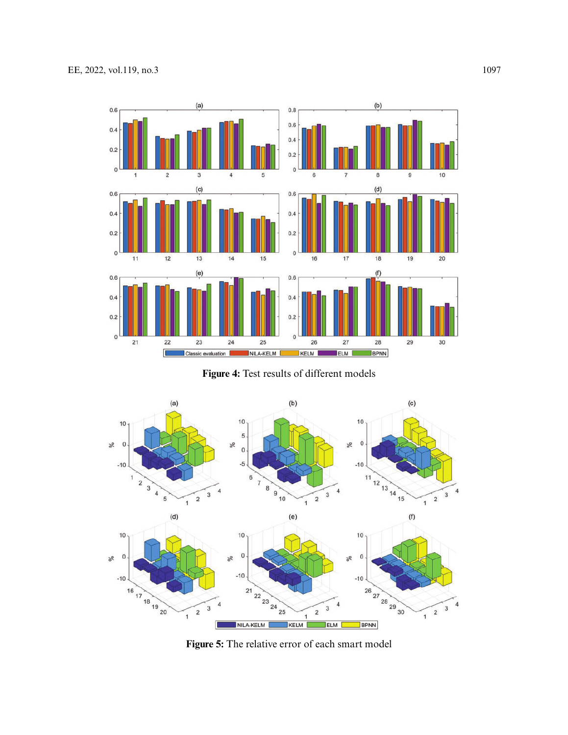

**Figure 4:** Test results of different models

<span id="page-22-0"></span>

<span id="page-22-1"></span>**Figure 5:** The relative error of each smart model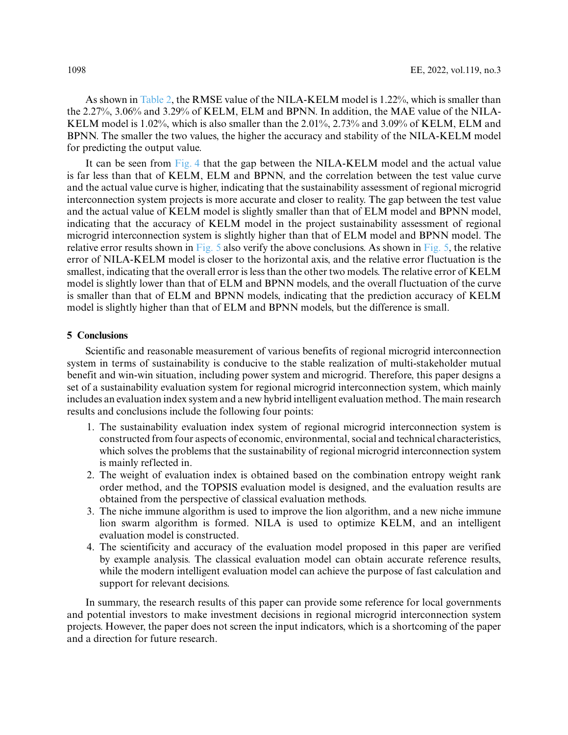As shown in [Table 2,](#page-16-0) the RMSE value of the NILA-KELM model is 1.22%, which is smaller than the 2.27%, 3.06% and 3.29% of KELM, ELM and BPNN. In addition, the MAE value of the NILA-KELM model is 1.02%, which is also smaller than the 2.01%, 2.73% and 3.09% of KELM, ELM and BPNN. The smaller the two values, the higher the accuracy and stability of the NILA-KELM model for predicting the output value.

It can be seen from [Fig. 4](#page-22-0) that the gap between the NILA-KELM model and the actual value is far less than that of KELM, ELM and BPNN, and the correlation between the test value curve and the actual value curve is higher, indicating that the sustainability assessment of regional microgrid interconnection system projects is more accurate and closer to reality. The gap between the test value and the actual value of KELM model is slightly smaller than that of ELM model and BPNN model, indicating that the accuracy of KELM model in the project sustainability assessment of regional microgrid interconnection system is slightly higher than that of ELM model and BPNN model. The relative error results shown in [Fig. 5](#page-22-1) also verify the above conclusions. As shown in [Fig. 5,](#page-22-1) the relative error of NILA-KELM model is closer to the horizontal axis, and the relative error fluctuation is the smallest, indicating that the overall error is less than the other two models. The relative error of KELM model is slightly lower than that of ELM and BPNN models, and the overall fluctuation of the curve is smaller than that of ELM and BPNN models, indicating that the prediction accuracy of KELM model is slightly higher than that of ELM and BPNN models, but the difference is small.

#### **5 Conclusions**

Scientific and reasonable measurement of various benefits of regional microgrid interconnection system in terms of sustainability is conducive to the stable realization of multi-stakeholder mutual benefit and win-win situation, including power system and microgrid. Therefore, this paper designs a set of a sustainability evaluation system for regional microgrid interconnection system, which mainly includes an evaluation index system and a new hybrid intelligent evaluation method. The main research results and conclusions include the following four points:

- 1. The sustainability evaluation index system of regional microgrid interconnection system is constructed from four aspects of economic, environmental, social and technical characteristics, which solves the problems that the sustainability of regional microgrid interconnection system is mainly reflected in.
- 2. The weight of evaluation index is obtained based on the combination entropy weight rank order method, and the TOPSIS evaluation model is designed, and the evaluation results are obtained from the perspective of classical evaluation methods.
- 3. The niche immune algorithm is used to improve the lion algorithm, and a new niche immune lion swarm algorithm is formed. NILA is used to optimize KELM, and an intelligent evaluation model is constructed.
- 4. The scientificity and accuracy of the evaluation model proposed in this paper are verified by example analysis. The classical evaluation model can obtain accurate reference results, while the modern intelligent evaluation model can achieve the purpose of fast calculation and support for relevant decisions.

In summary, the research results of this paper can provide some reference for local governments and potential investors to make investment decisions in regional microgrid interconnection system projects. However, the paper does not screen the input indicators, which is a shortcoming of the paper and a direction for future research.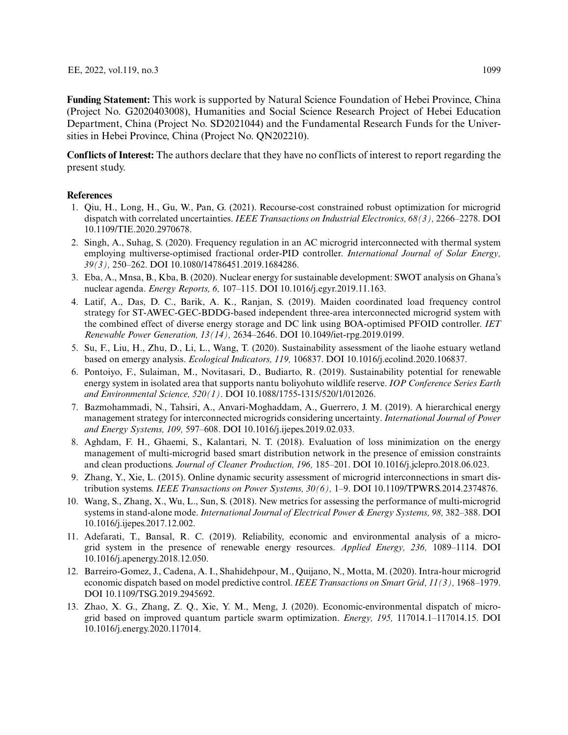**Funding Statement:** This work is supported by Natural Science Foundation of Hebei Province, China (Project No. G2020403008), Humanities and Social Science Research Project of Hebei Education Department, China (Project No. SD2021044) and the Fundamental Research Funds for the Universities in Hebei Province, China (Project No. QN202210).

**Conflicts of Interest:** The authors declare that they have no conflicts of interest to report regarding the present study.

### **References**

- <span id="page-24-0"></span>1. Qiu, H., Long, H., Gu, W., Pan, G. (2021). Recourse-cost constrained robust optimization for microgrid dispatch with correlated uncertainties. *IEEE Transactions on Industrial Electronics, 68(3),* 2266–2278. DOI [10.1109/TIE.2020.2970678.](https://doi.org/10.1109/TIE.2020.2970678)
- <span id="page-24-1"></span>2. Singh, A., Suhag, S. (2020). Frequency regulation in an AC microgrid interconnected with thermal system employing multiverse-optimised fractional order-PID controller. *International Journal of Solar Energy, 39(3),* 250–262. DOI [10.1080/14786451.2019.1684286.](https://doi.org/10.1080/14786451.2019.1684286)
- <span id="page-24-2"></span>3. Eba, A., Mnsa, B., Kba, B. (2020). Nuclear energy for sustainable development: SWOT analysis on Ghana's nuclear agenda. *Energy Reports, 6,* 107–115. DOI [10.1016/j.egyr.2019.11.163.](https://doi.org/10.1016/j.egyr.2019.11.163)
- <span id="page-24-3"></span>4. Latif, A., Das, D. C., Barik, A. K., Ranjan, S. (2019). Maiden coordinated load frequency control strategy for ST-AWEC-GEC-BDDG-based independent three-area interconnected microgrid system with the combined effect of diverse energy storage and DC link using BOA-optimised PFOID controller. *IET Renewable Power Generation, 13(14),* 2634–2646. DOI [10.1049/iet-rpg.2019.0199.](https://doi.org/10.1049/iet-rpg.2019.0199)
- <span id="page-24-4"></span>5. Su, F., Liu, H., Zhu, D., Li, L., Wang, T. (2020). Sustainability assessment of the liaohe estuary wetland based on emergy analysis. *Ecological Indicators, 119,* 106837. DOI [10.1016/j.ecolind.2020.106837.](https://doi.org/10.1016/j.ecolind.2020.106837)
- <span id="page-24-5"></span>6. Pontoiyo, F., Sulaiman, M., Novitasari, D., Budiarto, R. (2019). Sustainability potential for renewable energy system in isolated area that supports nantu boliyohuto wildlife reserve. *IOP Conference Series Earth and Environmental Science, 520(1)*. DOI [10.1088/1755-1315/520/1/012026.](https://doi.org/10.1088/1755-1315/520/1/012026)
- <span id="page-24-6"></span>7. Bazmohammadi, N., Tahsiri, A., Anvari-Moghaddam, A., Guerrero, J. M. (2019). A hierarchical energy management strategy for interconnected microgrids considering uncertainty. *International Journal of Power and Energy Systems, 109,* 597–608. DOI [10.1016/j.ijepes.2019.02.033.](https://doi.org/10.1016/j.ijepes.2019.02.033)
- <span id="page-24-7"></span>8. Aghdam, F. H., Ghaemi, S., Kalantari, N. T. (2018). Evaluation of loss minimization on the energy management of multi-microgrid based smart distribution network in the presence of emission constraints and clean productions. *Journal of Cleaner Production, 196,* 185–201. DOI [10.1016/j.jclepro.2018.06.023.](https://doi.org/10.1016/j.jclepro.2018.06.023)
- <span id="page-24-8"></span>9. Zhang, Y., Xie, L. (2015). Online dynamic security assessment of microgrid interconnections in smart distribution systems. *IEEE Transactions on Power Systems, 30(6),* 1–9. DOI [10.1109/TPWRS.2014.2374876.](https://doi.org/10.1109/TPWRS.2014.2374876)
- <span id="page-24-9"></span>10. Wang, S., Zhang, X., Wu, L., Sun, S. (2018). New metrics for assessing the performance of multi-microgrid systems in stand-alone mode. *International Journal of Electrical Power & Energy Systems, 98,* 382–388. DOI [10.1016/j.ijepes.2017.12.002.](https://doi.org/10.1016/j.ijepes.2017.12.002)
- <span id="page-24-10"></span>11. Adefarati, T., Bansal, R. C. (2019). Reliability, economic and environmental analysis of a microgrid system in the presence of renewable energy resources. *Applied Energy, 236,* 1089–1114. DOI [10.1016/j.apenergy.2018.12.050.](https://doi.org/10.1016/j.apenergy.2018.12.050)
- <span id="page-24-11"></span>12. Barreiro-Gomez, J., Cadena, A. I., Shahidehpour, M., Quijano, N., Motta, M. (2020). Intra-hour microgrid economic dispatch based on model predictive control. *IEEE Transactions on Smart Grid, 11(3),* 1968–1979. DOI [10.1109/TSG.2019.2945692.](https://doi.org/10.1109/TSG.2019.2945692)
- <span id="page-24-12"></span>13. Zhao, X. G., Zhang, Z. Q., Xie, Y. M., Meng, J. (2020). Economic-environmental dispatch of microgrid based on improved quantum particle swarm optimization. *Energy, 195,* 117014.1–117014.15. DOI [10.1016/j.energy.2020.117014.](https://doi.org/10.1016/j.energy.2020.117014)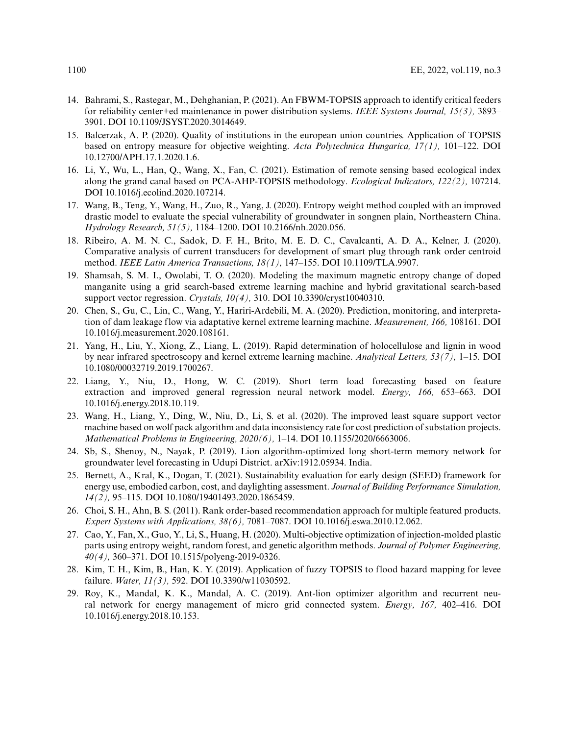- <span id="page-25-0"></span>14. Bahrami, S., Rastegar, M., Dehghanian, P. (2021). An FBWM-TOPSIS approach to identify critical feeders for reliability center+ed maintenance in power distribution systems. *IEEE Systems Journal, 15(3),* 3893– 3901. DOI [10.1109/JSYST.2020.3014649.](https://doi.org/10.1109/JSYST.2020.3014649)
- <span id="page-25-1"></span>15. Balcerzak, A. P. (2020). Quality of institutions in the european union countries. Application of TOPSIS based on entropy measure for objective weighting. *Acta Polytechnica Hungarica, 17(1),* 101–122. DOI [10.12700/APH.17.1.2020.1.6.](https://doi.org/10.12700/APH.17.1.2020.1.6)
- <span id="page-25-2"></span>16. Li, Y., Wu, L., Han, Q., Wang, X., Fan, C. (2021). Estimation of remote sensing based ecological index along the grand canal based on PCA-AHP-TOPSIS methodology. *Ecological Indicators, 122(2),* 107214. DOI [10.1016/j.ecolind.2020.107214.](https://doi.org/10.1016/j.ecolind.2020.107214)
- <span id="page-25-3"></span>17. Wang, B., Teng, Y., Wang, H., Zuo, R., Yang, J. (2020). Entropy weight method coupled with an improved drastic model to evaluate the special vulnerability of groundwater in songnen plain, Northeastern China. *Hydrology Research, 51(5),* 1184–1200. DOI [10.2166/nh.2020.056.](https://doi.org/10.2166/nh.2020.056)
- <span id="page-25-4"></span>18. Ribeiro, A. M. N. C., Sadok, D. F. H., Brito, M. E. D. C., Cavalcanti, A. D. A., Kelner, J. (2020). Comparative analysis of current transducers for development of smart plug through rank order centroid method. *IEEE Latin America Transactions, 18(1),* 147–155. DOI [10.1109/TLA.9907.](https://doi.org/10.1109/TLA.9907)
- <span id="page-25-5"></span>19. Shamsah, S. M. I., Owolabi, T. O. (2020). Modeling the maximum magnetic entropy change of doped manganite using a grid search-based extreme learning machine and hybrid gravitational search-based support vector regression. *Crystals, 10(4),* 310. DOI [10.3390/cryst10040310.](https://doi.org/10.3390/cryst10040310)
- <span id="page-25-6"></span>20. Chen, S., Gu, C., Lin, C., Wang, Y., Hariri-Ardebili, M. A. (2020). Prediction, monitoring, and interpretation of dam leakage flow via adaptative kernel extreme learning machine. *Measurement, 166,* 108161. DOI [10.1016/j.measurement.2020.108161.](https://doi.org/10.1016/j.measurement.2020.108161)
- <span id="page-25-7"></span>21. Yang, H., Liu, Y., Xiong, Z., Liang, L. (2019). Rapid determination of holocellulose and lignin in wood by near infrared spectroscopy and kernel extreme learning machine. *Analytical Letters, 53(7),* 1–15. DOI [10.1080/00032719.2019.1700267.](https://doi.org/10.1080/00032719.2019.1700267)
- <span id="page-25-8"></span>22. Liang, Y., Niu, D., Hong, W. C. (2019). Short term load forecasting based on feature extraction and improved general regression neural network model. *Energy, 166,* 653–663. DOI [10.1016/j.energy.2018.10.119.](https://doi.org/10.1016/j.energy.2018.10.119)
- <span id="page-25-9"></span>23. Wang, H., Liang, Y., Ding, W., Niu, D., Li, S. et al. (2020). The improved least square support vector machine based on wolf pack algorithm and data inconsistency rate for cost prediction of substation projects. *Mathematical Problems in Engineering, 2020(6),* 1–14. DOI [10.1155/2020/6663006.](https://doi.org/10.1155/2020/6663006)
- <span id="page-25-10"></span>24. Sb, S., Shenoy, N., Nayak, P. (2019). Lion algorithm-optimized long short-term memory network for groundwater level forecasting in Udupi District. arXiv:1912.05934. India.
- <span id="page-25-11"></span>25. Bernett, A., Kral, K., Dogan, T. (2021). Sustainability evaluation for early design (SEED) framework for energy use, embodied carbon, cost, and daylighting assessment. *Journal of Building Performance Simulation, 14(2),* 95–115. DOI [10.1080/19401493.2020.1865459.](https://doi.org/10.1080/19401493.2020.1865459)
- <span id="page-25-12"></span>26. Choi, S. H., Ahn, B. S. (2011). Rank order-based recommendation approach for multiple featured products. *Expert Systems with Applications, 38(6),* 7081–7087. DOI [10.1016/j.eswa.2010.12.062.](https://doi.org/10.1016/j.eswa.2010.12.062)
- <span id="page-25-13"></span>27. Cao, Y., Fan, X., Guo, Y., Li, S., Huang, H. (2020). Multi-objective optimization of injection-molded plastic parts using entropy weight, random forest, and genetic algorithm methods. *Journal of Polymer Engineering, 40(4),* 360–371. DOI [10.1515/polyeng-2019-0326.](https://doi.org/10.1515/polyeng-2019-0326)
- <span id="page-25-14"></span>28. Kim, T. H., Kim, B., Han, K. Y. (2019). Application of fuzzy TOPSIS to flood hazard mapping for levee failure. *Water, 11(3),* 592. DOI [10.3390/w11030592.](https://doi.org/10.3390/w11030592)
- <span id="page-25-15"></span>29. Roy, K., Mandal, K. K., Mandal, A. C. (2019). Ant-lion optimizer algorithm and recurrent neural network for energy management of micro grid connected system. *Energy, 167,* 402–416. DOI [10.1016/j.energy.2018.10.153.](https://doi.org/10.1016/j.energy.2018.10.153)